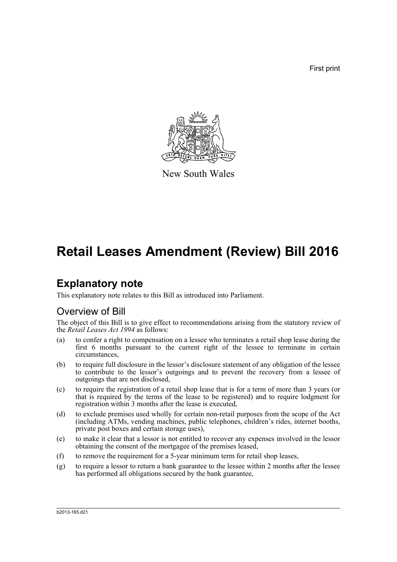First print



New South Wales

# **Retail Leases Amendment (Review) Bill 2016**

## **Explanatory note**

This explanatory note relates to this Bill as introduced into Parliament.

### Overview of Bill

The object of this Bill is to give effect to recommendations arising from the statutory review of the *Retail Leases Act 1994* as follows:

- (a) to confer a right to compensation on a lessee who terminates a retail shop lease during the first 6 months pursuant to the current right of the lessee to terminate in certain circumstances,
- (b) to require full disclosure in the lessor's disclosure statement of any obligation of the lessee to contribute to the lessor's outgoings and to prevent the recovery from a lessee of outgoings that are not disclosed,
- (c) to require the registration of a retail shop lease that is for a term of more than 3 years (or that is required by the terms of the lease to be registered) and to require lodgment for registration within 3 months after the lease is executed,
- (d) to exclude premises used wholly for certain non-retail purposes from the scope of the Act (including ATMs, vending machines, public telephones, children's rides, internet booths, private post boxes and certain storage uses),
- (e) to make it clear that a lessor is not entitled to recover any expenses involved in the lessor obtaining the consent of the mortgagee of the premises leased,
- (f) to remove the requirement for a 5-year minimum term for retail shop leases,
- (g) to require a lessor to return a bank guarantee to the lessee within 2 months after the lessee has performed all obligations secured by the bank guarantee,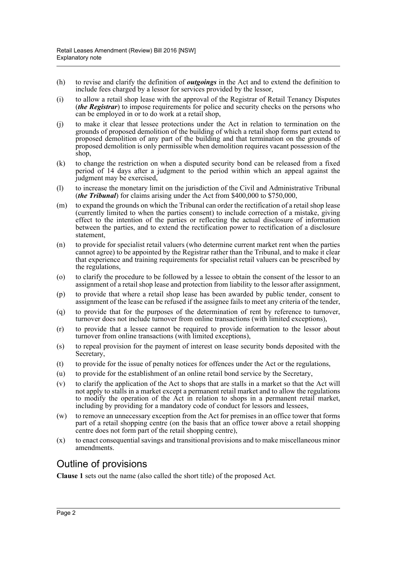- (h) to revise and clarify the definition of *outgoings* in the Act and to extend the definition to include fees charged by a lessor for services provided by the lessor,
- (i) to allow a retail shop lease with the approval of the Registrar of Retail Tenancy Disputes (*the Registrar*) to impose requirements for police and security checks on the persons who can be employed in or to do work at a retail shop,
- (j) to make it clear that lessee protections under the Act in relation to termination on the grounds of proposed demolition of the building of which a retail shop forms part extend to proposed demolition of any part of the building and that termination on the grounds of proposed demolition is only permissible when demolition requires vacant possession of the shop,
- (k) to change the restriction on when a disputed security bond can be released from a fixed period of 14 days after a judgment to the period within which an appeal against the judgment may be exercised,
- (l) to increase the monetary limit on the jurisdiction of the Civil and Administrative Tribunal (*the Tribunal*) for claims arising under the Act from \$400,000 to \$750,000,
- (m) to expand the grounds on which the Tribunal can order the rectification of a retail shop lease (currently limited to when the parties consent) to include correction of a mistake, giving effect to the intention of the parties or reflecting the actual disclosure of information between the parties, and to extend the rectification power to rectification of a disclosure statement,
- (n) to provide for specialist retail valuers (who determine current market rent when the parties cannot agree) to be appointed by the Registrar rather than the Tribunal, and to make it clear that experience and training requirements for specialist retail valuers can be prescribed by the regulations,
- (o) to clarify the procedure to be followed by a lessee to obtain the consent of the lessor to an assignment of a retail shop lease and protection from liability to the lessor after assignment,
- (p) to provide that where a retail shop lease has been awarded by public tender, consent to assignment of the lease can be refused if the assignee fails to meet any criteria of the tender,
- (q) to provide that for the purposes of the determination of rent by reference to turnover, turnover does not include turnover from online transactions (with limited exceptions),
- (r) to provide that a lessee cannot be required to provide information to the lessor about turnover from online transactions (with limited exceptions),
- (s) to repeal provision for the payment of interest on lease security bonds deposited with the Secretary.
- (t) to provide for the issue of penalty notices for offences under the Act or the regulations,
- (u) to provide for the establishment of an online retail bond service by the Secretary,
- (v) to clarify the application of the Act to shops that are stalls in a market so that the Act will not apply to stalls in a market except a permanent retail market and to allow the regulations to modify the operation of the Act in relation to shops in a permanent retail market, including by providing for a mandatory code of conduct for lessors and lessees,
- (w) to remove an unnecessary exception from the Act for premises in an office tower that forms part of a retail shopping centre (on the basis that an office tower above a retail shopping centre does not form part of the retail shopping centre),
- (x) to enact consequential savings and transitional provisions and to make miscellaneous minor amendments.

### Outline of provisions

**Clause 1** sets out the name (also called the short title) of the proposed Act.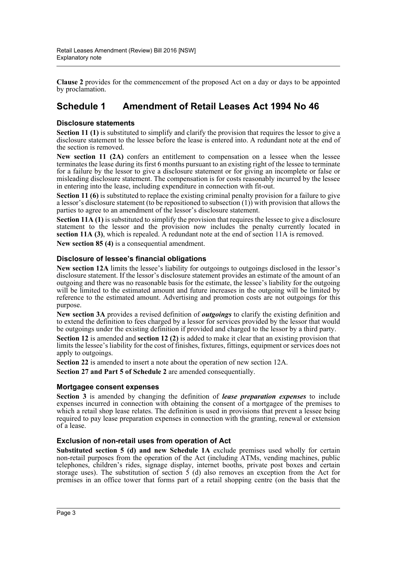**Clause 2** provides for the commencement of the proposed Act on a day or days to be appointed by proclamation.

### **Schedule 1 Amendment of Retail Leases Act 1994 No 46**

#### **Disclosure statements**

**Section 11 (1)** is substituted to simplify and clarify the provision that requires the lessor to give a disclosure statement to the lessee before the lease is entered into. A redundant note at the end of the section is removed.

**New section 11 (2A)** confers an entitlement to compensation on a lessee when the lessee terminates the lease during its first 6 months pursuant to an existing right of the lessee to terminate for a failure by the lessor to give a disclosure statement or for giving an incomplete or false or misleading disclosure statement. The compensation is for costs reasonably incurred by the lessee in entering into the lease, including expenditure in connection with fit-out.

**Section 11 (6)** is substituted to replace the existing criminal penalty provision for a failure to give a lessor's disclosure statement (to be repositioned to subsection  $(1)$ ) with provision that allows the parties to agree to an amendment of the lessor's disclosure statement.

**Section 11A (1)** is substituted to simplify the provision that requires the lessee to give a disclosure statement to the lessor and the provision now includes the penalty currently located in **section 11A (3)**, which is repealed. A redundant note at the end of section 11A is removed.

**New section 85 (4)** is a consequential amendment.

#### **Disclosure of lessee's financial obligations**

**New section 12A** limits the lessee's liability for outgoings to outgoings disclosed in the lessor's disclosure statement. If the lessor's disclosure statement provides an estimate of the amount of an outgoing and there was no reasonable basis for the estimate, the lessee's liability for the outgoing will be limited to the estimated amount and future increases in the outgoing will be limited by reference to the estimated amount. Advertising and promotion costs are not outgoings for this purpose.

**New section 3A** provides a revised definition of *outgoings* to clarify the existing definition and to extend the definition to fees charged by a lessor for services provided by the lessor that would be outgoings under the existing definition if provided and charged to the lessor by a third party.

**Section 12** is amended and **section 12 (2)** is added to make it clear that an existing provision that limits the lessee's liability for the cost of finishes, fixtures, fittings, equipment or services does not apply to outgoings.

**Section 22** is amended to insert a note about the operation of new section 12A.

**Section 27 and Part 5 of Schedule 2** are amended consequentially.

#### **Mortgagee consent expenses**

**Section 3** is amended by changing the definition of *lease preparation expenses* to include expenses incurred in connection with obtaining the consent of a mortgagee of the premises to which a retail shop lease relates. The definition is used in provisions that prevent a lessee being required to pay lease preparation expenses in connection with the granting, renewal or extension of a lease.

#### **Exclusion of non-retail uses from operation of Act**

**Substituted section 5 (d) and new Schedule 1A** exclude premises used wholly for certain non-retail purposes from the operation of the Act (including ATMs, vending machines, public telephones, children's rides, signage display, internet booths, private post boxes and certain storage uses). The substitution of section  $5$  (d) also removes an exception from the Act for premises in an office tower that forms part of a retail shopping centre (on the basis that the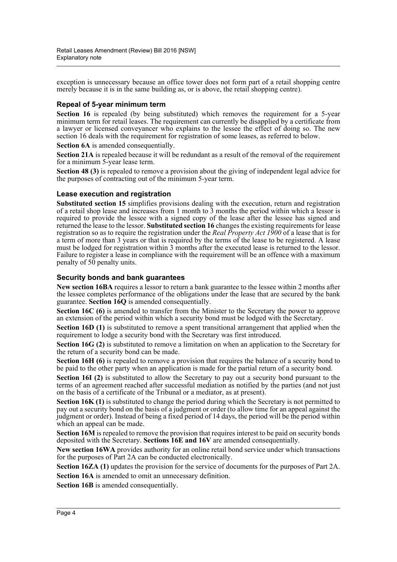exception is unnecessary because an office tower does not form part of a retail shopping centre merely because it is in the same building as, or is above, the retail shopping centre).

#### **Repeal of 5-year minimum term**

Section 16 is repealed (by being substituted) which removes the requirement for a 5-year minimum term for retail leases. The requirement can currently be disapplied by a certificate from a lawyer or licensed conveyancer who explains to the lessee the effect of doing so. The new section 16 deals with the requirement for registration of some leases, as referred to below.

**Section 6A** is amended consequentially.

**Section 21A** is repealed because it will be redundant as a result of the removal of the requirement for a minimum 5-year lease term.

**Section 48 (3)** is repealed to remove a provision about the giving of independent legal advice for the purposes of contracting out of the minimum 5-year term.

#### **Lease execution and registration**

**Substituted section 15** simplifies provisions dealing with the execution, return and registration of a retail shop lease and increases from 1 month to 3 months the period within which a lessor is required to provide the lessee with a signed copy of the lease after the lessee has signed and returned the lease to the lessor. **Substituted section 16** changes the existing requirements for lease registration so as to require the registration under the *Real Property Act 1900* of a lease that is for a term of more than 3 years or that is required by the terms of the lease to be registered. A lease must be lodged for registration within 3 months after the executed lease is returned to the lessor. Failure to register a lease in compliance with the requirement will be an offence with a maximum penalty of 50 penalty units.

#### **Security bonds and bank guarantees**

**New section 16BA** requires a lessor to return a bank guarantee to the lessee within 2 months after the lessee completes performance of the obligations under the lease that are secured by the bank guarantee. **Section 16Q** is amended consequentially.

**Section 16C (6)** is amended to transfer from the Minister to the Secretary the power to approve an extension of the period within which a security bond must be lodged with the Secretary.

**Section 16D (1)** is substituted to remove a spent transitional arrangement that applied when the requirement to lodge a security bond with the Secretary was first introduced.

**Section 16G (2)** is substituted to remove a limitation on when an application to the Secretary for the return of a security bond can be made.

**Section 16H (6)** is repealed to remove a provision that requires the balance of a security bond to be paid to the other party when an application is made for the partial return of a security bond.

**Section 16I (2)** is substituted to allow the Secretary to pay out a security bond pursuant to the terms of an agreement reached after successful mediation as notified by the parties (and not just on the basis of a certificate of the Tribunal or a mediator, as at present).

**Section 16K (1)** is substituted to change the period during which the Secretary is not permitted to pay out a security bond on the basis of a judgment or order (to allow time for an appeal against the judgment or order). Instead of being a fixed period of 14 days, the period will be the period within which an appeal can be made.

**Section 16M** is repealed to remove the provision that requires interest to be paid on security bonds deposited with the Secretary. **Sections 16E and 16V** are amended consequentially.

**New section 16WA** provides authority for an online retail bond service under which transactions for the purposes of Part 2A can be conducted electronically.

**Section 16ZA (1)** updates the provision for the service of documents for the purposes of Part 2A. **Section 16A** is amended to omit an unnecessary definition.

**Section 16B** is amended consequentially.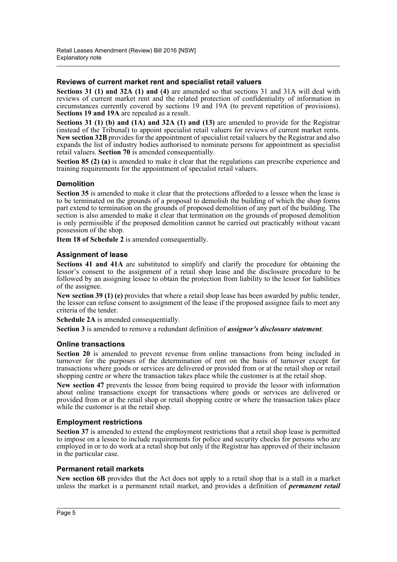#### **Reviews of current market rent and specialist retail valuers**

**Sections 31 (1) and 32A (1) and (4)** are amended so that sections 31 and 31A will deal with reviews of current market rent and the related protection of confidentiality of information in circumstances currently covered by sections 19 and 19A (to prevent repetition of provisions). **Sections 19 and 19A** are repealed as a result.

**Sections 31 (1) (b) and (1A) and 32A (1) and (13)** are amended to provide for the Registrar (instead of the Tribunal) to appoint specialist retail valuers for reviews of current market rents. **New section 32B** provides for the appointment of specialist retail valuers by the Registrar and also expands the list of industry bodies authorised to nominate persons for appointment as specialist retail valuers. **Section 70** is amended consequentially.

**Section 85 (2) (a)** is amended to make it clear that the regulations can prescribe experience and training requirements for the appointment of specialist retail valuers.

#### **Demolition**

**Section 35** is amended to make it clear that the protections afforded to a lessee when the lease is to be terminated on the grounds of a proposal to demolish the building of which the shop forms part extend to termination on the grounds of proposed demolition of any part of the building. The section is also amended to make it clear that termination on the grounds of proposed demolition is only permissible if the proposed demolition cannot be carried out practicably without vacant possession of the shop.

**Item 18 of Schedule 2** is amended consequentially.

#### **Assignment of lease**

**Sections 41 and 41A** are substituted to simplify and clarify the procedure for obtaining the lessor's consent to the assignment of a retail shop lease and the disclosure procedure to be followed by an assigning lessee to obtain the protection from liability to the lessor for liabilities of the assignee.

**New section 39 (1) (e)** provides that where a retail shop lease has been awarded by public tender, the lessor can refuse consent to assignment of the lease if the proposed assignee fails to meet any criteria of the tender.

**Schedule 2A** is amended consequentially.

**Section 3** is amended to remove a redundant definition of *assignor's disclosure statement*.

#### **Online transactions**

Section 20 is amended to prevent revenue from online transactions from being included in turnover for the purposes of the determination of rent on the basis of turnover except for transactions where goods or services are delivered or provided from or at the retail shop or retail shopping centre or where the transaction takes place while the customer is at the retail shop.

**New section 47** prevents the lessee from being required to provide the lessor with information about online transactions except for transactions where goods or services are delivered or provided from or at the retail shop or retail shopping centre or where the transaction takes place while the customer is at the retail shop.

#### **Employment restrictions**

**Section 37** is amended to extend the employment restrictions that a retail shop lease is permitted to impose on a lessee to include requirements for police and security checks for persons who are employed in or to do work at a retail shop but only if the Registrar has approved of their inclusion in the particular case.

#### **Permanent retail markets**

**New section 6B** provides that the Act does not apply to a retail shop that is a stall in a market unless the market is a permanent retail market, and provides a definition of *permanent retail*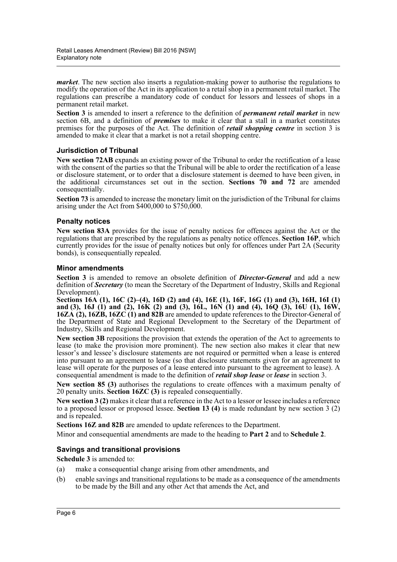*market*. The new section also inserts a regulation-making power to authorise the regulations to modify the operation of the Act in its application to a retail shop in a permanent retail market. The regulations can prescribe a mandatory code of conduct for lessors and lessees of shops in a permanent retail market.

**Section 3** is amended to insert a reference to the definition of *permanent retail market* in new section 6B, and a definition of *premises* to make it clear that a stall in a market constitutes premises for the purposes of the Act. The definition of *retail shopping centre* in section 3 is amended to make it clear that a market is not a retail shopping centre.

#### **Jurisdiction of Tribunal**

**New section 72AB** expands an existing power of the Tribunal to order the rectification of a lease with the consent of the parties so that the Tribunal will be able to order the rectification of a lease or disclosure statement, or to order that a disclosure statement is deemed to have been given, in the additional circumstances set out in the section. **Sections 70 and 72** are amended consequentially.

**Section 73** is amended to increase the monetary limit on the jurisdiction of the Tribunal for claims arising under the Act from \$400,000 to \$750,000.

#### **Penalty notices**

**New section 83A** provides for the issue of penalty notices for offences against the Act or the regulations that are prescribed by the regulations as penalty notice offences. **Section 16P**, which currently provides for the issue of penalty notices but only for offences under Part 2A (Security bonds), is consequentially repealed.

#### **Minor amendments**

**Section 3** is amended to remove an obsolete definition of *Director-General* and add a new definition of *Secretary* (to mean the Secretary of the Department of Industry, Skills and Regional Development).

**Sections 16A (1), 16C (2)–(4), 16D (2) and (4), 16E (1), 16F, 16G (1) and (3), 16H, 16I (1) and (3), 16J (1) and (2), 16K (2) and (3), 16L, 16N (1) and (4), 16Q (3), 16U (1), 16W, 16ZA (2), 16ZB, 16ZC (1) and 82B** are amended to update references to the Director-General of the Department of State and Regional Development to the Secretary of the Department of Industry, Skills and Regional Development.

**New section 3B** repositions the provision that extends the operation of the Act to agreements to lease (to make the provision more prominent). The new section also makes it clear that new lessor's and lessee's disclosure statements are not required or permitted when a lease is entered into pursuant to an agreement to lease (so that disclosure statements given for an agreement to lease will operate for the purposes of a lease entered into pursuant to the agreement to lease). A consequential amendment is made to the definition of *retail shop lease* or *lease* in section 3.

**New section 85 (3)** authorises the regulations to create offences with a maximum penalty of 20 penalty units. **Section 16ZC (3)** is repealed consequentially.

**New section 3 (2)** makes it clear that a reference in the Act to a lessor or lessee includes a reference to a proposed lessor or proposed lessee. **Section 13 (4)** is made redundant by new section 3 (2) and is repealed.

**Sections 16Z and 82B** are amended to update references to the Department.

Minor and consequential amendments are made to the heading to **Part 2** and to **Schedule 2**.

#### **Savings and transitional provisions**

**Schedule 3** is amended to:

- (a) make a consequential change arising from other amendments, and
- (b) enable savings and transitional regulations to be made as a consequence of the amendments to be made by the Bill and any other Act that amends the Act, and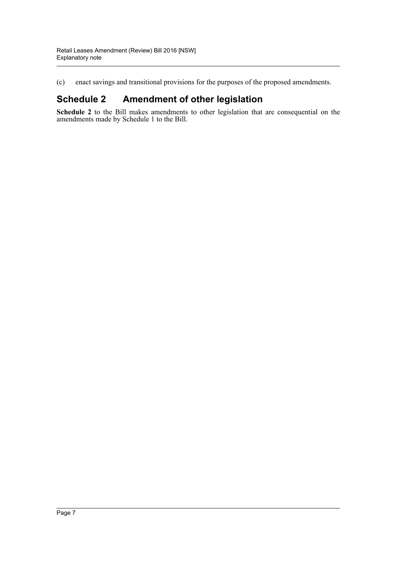(c) enact savings and transitional provisions for the purposes of the proposed amendments.

## **Schedule 2 Amendment of other legislation**

**Schedule 2** to the Bill makes amendments to other legislation that are consequential on the amendments made by Schedule 1 to the Bill.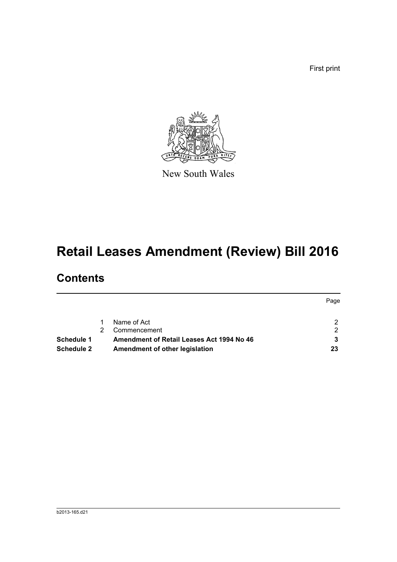First print



New South Wales

# **Retail Leases Amendment (Review) Bill 2016**

# **Contents**

|                   |                                           | Page |
|-------------------|-------------------------------------------|------|
|                   | Name of Act                               | 2    |
|                   | Commencement                              | 2    |
| Schedule 1        | Amendment of Retail Leases Act 1994 No 46 |      |
| <b>Schedule 2</b> | Amendment of other legislation            | 23   |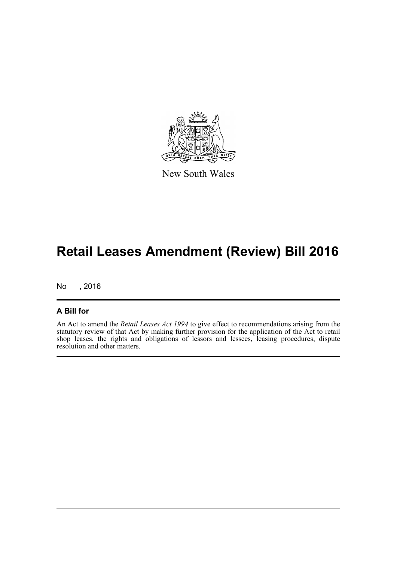

New South Wales

# **Retail Leases Amendment (Review) Bill 2016**

No , 2016

#### **A Bill for**

An Act to amend the *Retail Leases Act 1994* to give effect to recommendations arising from the statutory review of that Act by making further provision for the application of the Act to retail shop leases, the rights and obligations of lessors and lessees, leasing procedures, dispute resolution and other matters.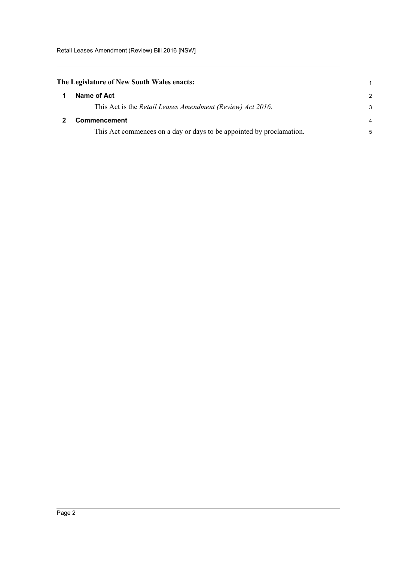<span id="page-9-0"></span>

| The Legislature of New South Wales enacts: |
|--------------------------------------------|
| Name of Act                                |

<span id="page-9-1"></span>

| Name of Act                                                          | $\mathcal{P}$  |
|----------------------------------------------------------------------|----------------|
| This Act is the Retail Leases Amendment (Review) Act 2016.           | 3              |
| <b>Commencement</b>                                                  | $\overline{4}$ |
| This Act commences on a day or days to be appointed by proclamation. | 5              |

1

Page 2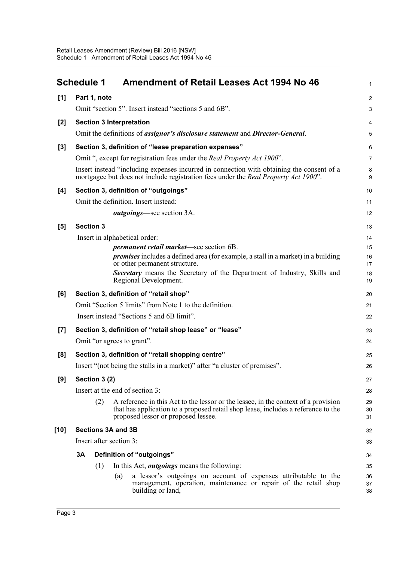<span id="page-10-0"></span>

|        | <b>Schedule 1</b> |                  | <b>Amendment of Retail Leases Act 1994 No 46</b>                                                                                                                                                               | $\mathbf{1}$   |
|--------|-------------------|------------------|----------------------------------------------------------------------------------------------------------------------------------------------------------------------------------------------------------------|----------------|
| [1]    |                   | Part 1, note     |                                                                                                                                                                                                                | $\overline{2}$ |
|        |                   |                  | Omit "section 5". Insert instead "sections 5 and 6B".                                                                                                                                                          | 3              |
| $[2]$  |                   |                  | <b>Section 3 Interpretation</b>                                                                                                                                                                                | 4              |
|        |                   |                  | Omit the definitions of <i>assignor's disclosure statement</i> and <i>Director-General</i> .                                                                                                                   | 5              |
| $[3]$  |                   |                  | Section 3, definition of "lease preparation expenses"                                                                                                                                                          | 6              |
|        |                   |                  | Omit ", except for registration fees under the <i>Real Property Act 1900"</i> .                                                                                                                                | $\overline{7}$ |
|        |                   |                  | Insert instead "including expenses incurred in connection with obtaining the consent of a<br>mortgagee but does not include registration fees under the Real Property Act 1900".                               | 8<br>9         |
| [4]    |                   |                  | Section 3, definition of "outgoings"                                                                                                                                                                           | 10             |
|        |                   |                  | Omit the definition. Insert instead:                                                                                                                                                                           | 11             |
|        |                   |                  | <i>outgoings</i> —see section 3A.                                                                                                                                                                              | 12             |
| [5]    |                   | <b>Section 3</b> |                                                                                                                                                                                                                | 13             |
|        |                   |                  | Insert in alphabetical order:                                                                                                                                                                                  | 14             |
|        |                   |                  | <i>permanent retail market</i> —see section 6B.                                                                                                                                                                | 15             |
|        |                   |                  | <i>premises</i> includes a defined area (for example, a stall in a market) in a building<br>or other permanent structure.                                                                                      | 16<br>17       |
|        |                   |                  | Secretary means the Secretary of the Department of Industry, Skills and<br>Regional Development.                                                                                                               | 18<br>19       |
| [6]    |                   |                  | Section 3, definition of "retail shop"                                                                                                                                                                         | 20             |
|        |                   |                  | Omit "Section 5 limits" from Note 1 to the definition.                                                                                                                                                         | 21             |
|        |                   |                  | Insert instead "Sections 5 and 6B limit".                                                                                                                                                                      | 22             |
| $[7]$  |                   |                  | Section 3, definition of "retail shop lease" or "lease"                                                                                                                                                        | 23             |
|        |                   |                  | Omit "or agrees to grant".                                                                                                                                                                                     | 24             |
| [8]    |                   |                  | Section 3, definition of "retail shopping centre"                                                                                                                                                              | 25             |
|        |                   |                  | Insert "(not being the stalls in a market)" after "a cluster of premises".                                                                                                                                     | 26             |
| [9]    |                   | Section 3 (2)    |                                                                                                                                                                                                                | 27             |
|        |                   |                  | Insert at the end of section 3:                                                                                                                                                                                | 28             |
|        |                   | (2)              | A reference in this Act to the lessor or the lessee, in the context of a provision<br>that has application to a proposed retail shop lease, includes a reference to the<br>proposed lessor or proposed lessee. | 29<br>30<br>31 |
| $[10]$ |                   |                  | <b>Sections 3A and 3B</b>                                                                                                                                                                                      | 32             |
|        |                   |                  | Insert after section 3:                                                                                                                                                                                        | 33             |
|        | 3Α                |                  | Definition of "outgoings"                                                                                                                                                                                      | 34             |
|        |                   | (1)              | In this Act, <i>outgoings</i> means the following:                                                                                                                                                             | 35             |
|        |                   |                  | a lessor's outgoings on account of expenses attributable to the<br>(a)<br>management, operation, maintenance or repair of the retail shop<br>building or land,                                                 | 36<br>37<br>38 |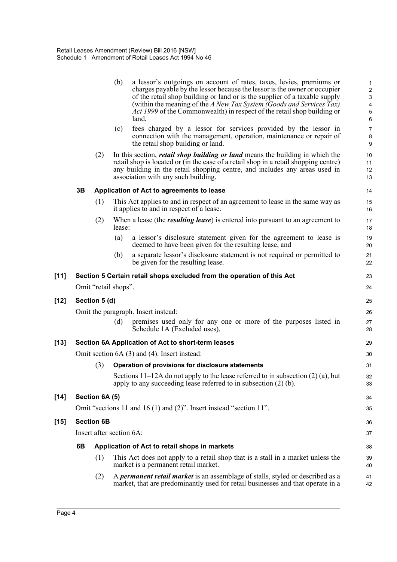|        |    |                          | (b)    | a lessor's outgoings on account of rates, taxes, levies, premiums or<br>charges payable by the lessor because the lessor is the owner or occupier<br>of the retail shop building or land or is the supplier of a taxable supply<br>(within the meaning of the A New Tax System (Goods and Services Tax)<br><i>Act 1999</i> of the Commonwealth) in respect of the retail shop building or<br>land, | $\mathbf{1}$<br>$\boldsymbol{2}$<br>$\ensuremath{\mathsf{3}}$<br>4<br>5<br>6 |
|--------|----|--------------------------|--------|----------------------------------------------------------------------------------------------------------------------------------------------------------------------------------------------------------------------------------------------------------------------------------------------------------------------------------------------------------------------------------------------------|------------------------------------------------------------------------------|
|        |    |                          | (c)    | fees charged by a lessor for services provided by the lessor in<br>connection with the management, operation, maintenance or repair of<br>the retail shop building or land.                                                                                                                                                                                                                        | $\overline{7}$<br>8<br>9                                                     |
|        |    | (2)                      |        | In this section, <i>retail shop building or land</i> means the building in which the<br>retail shop is located or (in the case of a retail shop in a retail shopping centre)<br>any building in the retail shopping centre, and includes any areas used in<br>association with any such building.                                                                                                  | 10<br>11<br>12<br>13                                                         |
|        | 3B |                          |        | Application of Act to agreements to lease                                                                                                                                                                                                                                                                                                                                                          | 14                                                                           |
|        |    | (1)                      |        | This Act applies to and in respect of an agreement to lease in the same way as<br>it applies to and in respect of a lease.                                                                                                                                                                                                                                                                         | 15<br>16                                                                     |
|        |    | (2)                      | lease: | When a lease (the <i>resulting lease</i> ) is entered into pursuant to an agreement to                                                                                                                                                                                                                                                                                                             | 17<br>18                                                                     |
|        |    |                          | (a)    | a lessor's disclosure statement given for the agreement to lease is<br>deemed to have been given for the resulting lease, and                                                                                                                                                                                                                                                                      | 19<br>20                                                                     |
|        |    |                          | (b)    | a separate lessor's disclosure statement is not required or permitted to<br>be given for the resulting lease.                                                                                                                                                                                                                                                                                      | 21<br>22                                                                     |
| [11]   |    |                          |        | Section 5 Certain retail shops excluded from the operation of this Act                                                                                                                                                                                                                                                                                                                             | 23                                                                           |
|        |    | Omit "retail shops".     |        |                                                                                                                                                                                                                                                                                                                                                                                                    | 24                                                                           |
| $[12]$ |    | Section 5 (d)            |        |                                                                                                                                                                                                                                                                                                                                                                                                    | 25                                                                           |
|        |    |                          |        | Omit the paragraph. Insert instead:                                                                                                                                                                                                                                                                                                                                                                | 26                                                                           |
|        |    |                          | (d)    | premises used only for any one or more of the purposes listed in<br>Schedule 1A (Excluded uses),                                                                                                                                                                                                                                                                                                   | 27<br>28                                                                     |
| $[13]$ |    |                          |        | Section 6A Application of Act to short-term leases                                                                                                                                                                                                                                                                                                                                                 | 29                                                                           |
|        |    |                          |        | Omit section 6A (3) and (4). Insert instead:                                                                                                                                                                                                                                                                                                                                                       | 30                                                                           |
|        |    | (3)                      |        | Operation of provisions for disclosure statements                                                                                                                                                                                                                                                                                                                                                  | 31                                                                           |
|        |    |                          |        | Sections $11-12A$ do not apply to the lease referred to in subsection $(2)$ (a), but<br>apply to any succeeding lease referred to in subsection $(2)$ (b).                                                                                                                                                                                                                                         | 32<br>33                                                                     |
| $[14]$ |    | Section 6A (5)           |        |                                                                                                                                                                                                                                                                                                                                                                                                    | 34                                                                           |
|        |    |                          |        | Omit "sections 11 and 16 (1) and (2)". Insert instead "section $11$ ".                                                                                                                                                                                                                                                                                                                             | 35                                                                           |
| $[15]$ |    | <b>Section 6B</b>        |        |                                                                                                                                                                                                                                                                                                                                                                                                    | 36                                                                           |
|        |    | Insert after section 6A: |        |                                                                                                                                                                                                                                                                                                                                                                                                    | 37                                                                           |
|        | 6B |                          |        | Application of Act to retail shops in markets                                                                                                                                                                                                                                                                                                                                                      | 38                                                                           |
|        |    | (1)                      |        | This Act does not apply to a retail shop that is a stall in a market unless the<br>market is a permanent retail market.                                                                                                                                                                                                                                                                            | 39<br>40                                                                     |
|        |    | (2)                      |        | A <i>permanent retail market</i> is an assemblage of stalls, styled or described as a<br>market, that are predominantly used for retail businesses and that operate in a                                                                                                                                                                                                                           | 41<br>42                                                                     |
|        |    |                          |        |                                                                                                                                                                                                                                                                                                                                                                                                    |                                                                              |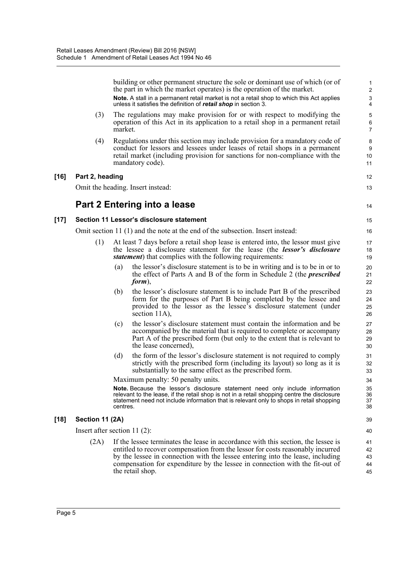building or other permanent structure the sole or dominant use of which (or of the part in which the market operates) is the operation of the market. **Note.** A stall in a permanent retail market is not a retail shop to which this Act applies unless it satisfies the definition of *retail shop* in section 3. (3) The regulations may make provision for or with respect to modifying the operation of this Act in its application to a retail shop in a permanent retail market. (4) Regulations under this section may include provision for a mandatory code of conduct for lessors and lessees under leases of retail shops in a permanent retail market (including provision for sanctions for non-compliance with the mandatory code). **[16] Part 2, heading** Omit the heading. Insert instead: **Part 2 Entering into a lease [17] Section 11 Lessor's disclosure statement** Omit section 11 (1) and the note at the end of the subsection. Insert instead: (1) At least 7 days before a retail shop lease is entered into, the lessor must give the lessee a disclosure statement for the lease (the *lessor's disclosure statement*) that complies with the following requirements: (a) the lessor's disclosure statement is to be in writing and is to be in or to the effect of Parts A and B of the form in Schedule 2 (the *prescribed form*), (b) the lessor's disclosure statement is to include Part B of the prescribed form for the purposes of Part B being completed by the lessee and provided to the lessor as the lessee's disclosure statement (under section 11A). (c) the lessor's disclosure statement must contain the information and be accompanied by the material that is required to complete or accompany Part A of the prescribed form (but only to the extent that is relevant to the lease concerned), (d) the form of the lessor's disclosure statement is not required to comply strictly with the prescribed form (including its layout) so long as it is substantially to the same effect as the prescribed form. Maximum penalty: 50 penalty units. **Note.** Because the lessor's disclosure statement need only include information relevant to the lease, if the retail shop is not in a retail shopping centre the disclosure statement need not include information that is relevant only to shops in retail shopping centres. **[18] Section 11 (2A)** Insert after section 11 (2): (2A) If the lessee terminates the lease in accordance with this section, the lessee is entitled to recover compensation from the lessor for costs reasonably incurred by the lessee in connection with the lessee entering into the lease, including compensation for expenditure by the lessee in connection with the fit-out of the retail shop. 1 2 3 4 5 6 7 8 9 10 11 12 13 14 15 16 17 18 19  $20$ 21 22 23 24 25 26 27 28 29 30 31 32 33 34 35 36 37 38 39 40 41 42 43 44 45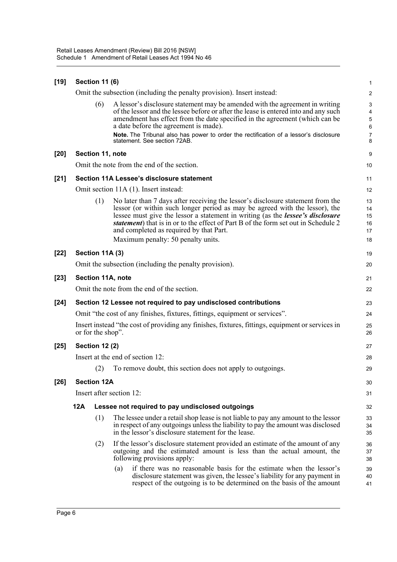| $[19]$ | <b>Section 11 (6)</b>                                                       |                       |                                                                                                                                                                                                                                                                                                                                                                                                                                |                                               |  |  |
|--------|-----------------------------------------------------------------------------|-----------------------|--------------------------------------------------------------------------------------------------------------------------------------------------------------------------------------------------------------------------------------------------------------------------------------------------------------------------------------------------------------------------------------------------------------------------------|-----------------------------------------------|--|--|
|        |                                                                             |                       | Omit the subsection (including the penalty provision). Insert instead:                                                                                                                                                                                                                                                                                                                                                         | $\overline{c}$                                |  |  |
|        |                                                                             | (6)                   | A lessor's disclosure statement may be amended with the agreement in writing<br>of the lessor and the lessee before or after the lease is entered into and any such<br>amendment has effect from the date specified in the agreement (which can be<br>a date before the agreement is made).<br>Note. The Tribunal also has power to order the rectification of a lessor's disclosure<br>statement. See section 72AB.           | 3<br>4<br>5<br>$\,6\,$<br>$\overline{7}$<br>8 |  |  |
| $[20]$ |                                                                             | Section 11, note      |                                                                                                                                                                                                                                                                                                                                                                                                                                | 9                                             |  |  |
|        |                                                                             |                       | Omit the note from the end of the section.                                                                                                                                                                                                                                                                                                                                                                                     | 10                                            |  |  |
| $[21]$ |                                                                             |                       | Section 11A Lessee's disclosure statement                                                                                                                                                                                                                                                                                                                                                                                      | 11                                            |  |  |
|        |                                                                             |                       | Omit section 11A (1). Insert instead:                                                                                                                                                                                                                                                                                                                                                                                          | 12                                            |  |  |
|        |                                                                             | (1)                   | No later than 7 days after receiving the lessor's disclosure statement from the<br>lessor (or within such longer period as may be agreed with the lessor), the<br>lessee must give the lessor a statement in writing (as the <i>lessee's disclosure</i><br>statement) that is in or to the effect of Part B of the form set out in Schedule 2<br>and completed as required by that Part.<br>Maximum penalty: 50 penalty units. | 13<br>14<br>15<br>16<br>17<br>18              |  |  |
| $[22]$ |                                                                             | Section 11A (3)       |                                                                                                                                                                                                                                                                                                                                                                                                                                | 19                                            |  |  |
|        |                                                                             |                       | Omit the subsection (including the penalty provision).                                                                                                                                                                                                                                                                                                                                                                         | 20                                            |  |  |
| $[23]$ |                                                                             |                       | Section 11A, note                                                                                                                                                                                                                                                                                                                                                                                                              | 21                                            |  |  |
|        |                                                                             |                       | Omit the note from the end of the section.                                                                                                                                                                                                                                                                                                                                                                                     | 22                                            |  |  |
| $[24]$ |                                                                             |                       | Section 12 Lessee not required to pay undisclosed contributions                                                                                                                                                                                                                                                                                                                                                                | 23                                            |  |  |
|        | Omit "the cost of any finishes, fixtures, fittings, equipment or services". |                       |                                                                                                                                                                                                                                                                                                                                                                                                                                |                                               |  |  |
|        |                                                                             | or for the shop".     | Insert instead "the cost of providing any finishes, fixtures, fittings, equipment or services in                                                                                                                                                                                                                                                                                                                               | 25<br>26                                      |  |  |
| $[25]$ |                                                                             | <b>Section 12 (2)</b> |                                                                                                                                                                                                                                                                                                                                                                                                                                | 27                                            |  |  |
|        |                                                                             |                       | Insert at the end of section 12:                                                                                                                                                                                                                                                                                                                                                                                               | 28                                            |  |  |
|        |                                                                             | (2)                   | To remove doubt, this section does not apply to outgoings.                                                                                                                                                                                                                                                                                                                                                                     | 29                                            |  |  |
| [26]   |                                                                             | <b>Section 12A</b>    |                                                                                                                                                                                                                                                                                                                                                                                                                                | 30                                            |  |  |
|        |                                                                             |                       | Insert after section 12:                                                                                                                                                                                                                                                                                                                                                                                                       | 31                                            |  |  |
|        | 12A                                                                         |                       | Lessee not required to pay undisclosed outgoings                                                                                                                                                                                                                                                                                                                                                                               | 32                                            |  |  |
|        |                                                                             | (1)                   | The lessee under a retail shop lease is not liable to pay any amount to the lessor<br>in respect of any outgoings unless the liability to pay the amount was disclosed<br>in the lessor's disclosure statement for the lease.                                                                                                                                                                                                  | 33<br>34<br>35                                |  |  |
|        |                                                                             | (2)                   | If the lessor's disclosure statement provided an estimate of the amount of any<br>outgoing and the estimated amount is less than the actual amount, the<br>following provisions apply:                                                                                                                                                                                                                                         | 36<br>37<br>38                                |  |  |
|        |                                                                             |                       | if there was no reasonable basis for the estimate when the lessor's<br>(a)<br>disclosure statement was given, the lessee's liability for any payment in<br>respect of the outgoing is to be determined on the basis of the amount                                                                                                                                                                                              | 39<br>40<br>41                                |  |  |
|        |                                                                             |                       |                                                                                                                                                                                                                                                                                                                                                                                                                                |                                               |  |  |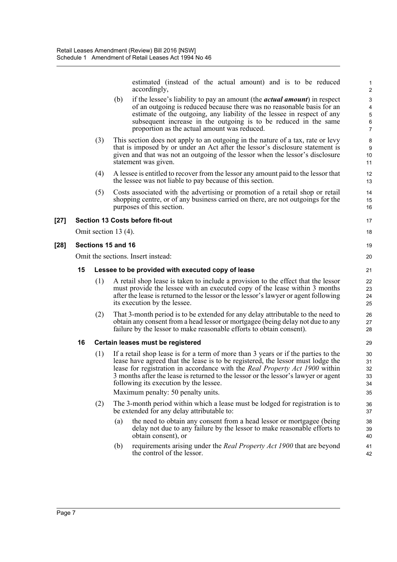estimated (instead of the actual amount) and is to be reduced accordingly,

17 18

19 20

- (b) if the lessee's liability to pay an amount (the *actual amount*) in respect of an outgoing is reduced because there was no reasonable basis for an estimate of the outgoing, any liability of the lessee in respect of any subsequent increase in the outgoing is to be reduced in the same proportion as the actual amount was reduced.
- (3) This section does not apply to an outgoing in the nature of a tax, rate or levy that is imposed by or under an Act after the lessor's disclosure statement is given and that was not an outgoing of the lessor when the lessor's disclosure statement was given.
- (4) A lessee is entitled to recover from the lessor any amount paid to the lessor that the lessee was not liable to pay because of this section.
- (5) Costs associated with the advertising or promotion of a retail shop or retail shopping centre, or of any business carried on there, are not outgoings for the purposes of this section.

#### **[27] Section 13 Costs before fit-out**

Omit section 13 (4).

#### **[28] Sections 15 and 16**

Omit the sections. Insert instead:

#### **15 Lessee to be provided with executed copy of lease**

- (1) A retail shop lease is taken to include a provision to the effect that the lessor must provide the lessee with an executed copy of the lease within 3 months after the lease is returned to the lessor or the lessor's lawyer or agent following its execution by the lessee.
- (2) That 3-month period is to be extended for any delay attributable to the need to obtain any consent from a head lessor or mortgagee (being delay not due to any failure by the lessor to make reasonable efforts to obtain consent).

#### **16 Certain leases must be registered**

(1) If a retail shop lease is for a term of more than 3 years or if the parties to the lease have agreed that the lease is to be registered, the lessor must lodge the lease for registration in accordance with the *Real Property Act 1900* within 3 months after the lease is returned to the lessor or the lessor's lawyer or agent following its execution by the lessee.

Maximum penalty: 50 penalty units.

- (2) The 3-month period within which a lease must be lodged for registration is to be extended for any delay attributable to:
	- (a) the need to obtain any consent from a head lessor or mortgagee (being delay not due to any failure by the lessor to make reasonable efforts to obtain consent), or
	- (b) requirements arising under the *Real Property Act 1900* that are beyond the control of the lessor.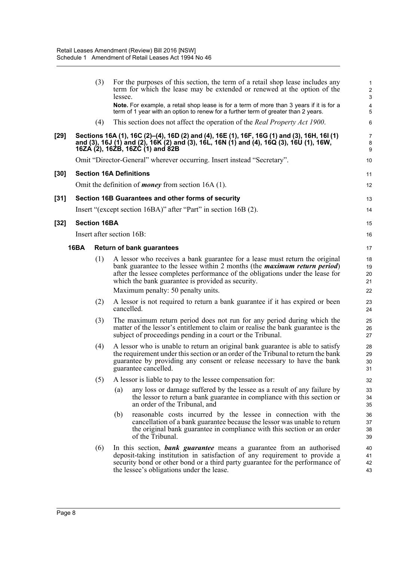|        |             | (3)                 | For the purposes of this section, the term of a retail shop lease includes any<br>term for which the lease may be extended or renewed at the option of the<br>lessee.                                                                                                                                 | $\mathbf{1}$<br>$\sqrt{2}$<br>$\mathsf 3$ |
|--------|-------------|---------------------|-------------------------------------------------------------------------------------------------------------------------------------------------------------------------------------------------------------------------------------------------------------------------------------------------------|-------------------------------------------|
|        |             |                     | Note. For example, a retail shop lease is for a term of more than 3 years if it is for a<br>term of 1 year with an option to renew for a further term of greater than 2 years.                                                                                                                        | $\overline{\mathbf{4}}$<br>$\overline{5}$ |
|        |             | (4)                 | This section does not affect the operation of the <i>Real Property Act 1900</i> .                                                                                                                                                                                                                     | 6                                         |
| $[29]$ |             |                     | Sections 16A (1), 16C (2)–(4), 16D (2) and (4), 16E (1), 16F, 16G (1) and (3), 16H, 16I (1)<br>and (3), 16J (1) and (2), 16K (2) and (3), 16L, 16N (1) and (4), 16Q (3), 16U (1), 16W,<br>16ZA (2), 16ZB, 16ZC (1) and 82B                                                                            | $\overline{7}$<br>8<br>9                  |
|        |             |                     | Omit "Director-General" wherever occurring. Insert instead "Secretary".                                                                                                                                                                                                                               | 10                                        |
| $[30]$ |             |                     | <b>Section 16A Definitions</b>                                                                                                                                                                                                                                                                        | 11                                        |
|        |             |                     | Omit the definition of <i>money</i> from section 16A $(1)$ .                                                                                                                                                                                                                                          | 12                                        |
| $[31]$ |             |                     | Section 16B Guarantees and other forms of security                                                                                                                                                                                                                                                    | 13                                        |
|        |             |                     | Insert "(except section 16BA)" after "Part" in section 16B (2).                                                                                                                                                                                                                                       | 14                                        |
| $[32]$ |             | <b>Section 16BA</b> |                                                                                                                                                                                                                                                                                                       | 15                                        |
|        |             |                     | Insert after section 16B:                                                                                                                                                                                                                                                                             | 16                                        |
|        | <b>16BA</b> |                     | <b>Return of bank guarantees</b>                                                                                                                                                                                                                                                                      | 17                                        |
|        |             | (1)                 | A lessor who receives a bank guarantee for a lease must return the original<br>bank guarantee to the lessee within 2 months (the <i>maximum return period</i> )<br>after the lessee completes performance of the obligations under the lease for<br>which the bank guarantee is provided as security. | 18<br>19<br>20<br>21                      |
|        |             |                     | Maximum penalty: 50 penalty units.                                                                                                                                                                                                                                                                    | 22                                        |
|        |             | (2)                 | A lessor is not required to return a bank guarantee if it has expired or been<br>cancelled.                                                                                                                                                                                                           | 23<br>24                                  |
|        |             | (3)                 | The maximum return period does not run for any period during which the<br>matter of the lessor's entitlement to claim or realise the bank guarantee is the<br>subject of proceedings pending in a court or the Tribunal.                                                                              | 25<br>26<br>27                            |
|        |             | (4)                 | A lessor who is unable to return an original bank guarantee is able to satisfy<br>the requirement under this section or an order of the Tribunal to return the bank<br>guarantee by providing any consent or release necessary to have the bank<br>guarantee cancelled.                               | 28<br>29<br>30<br>31                      |
|        |             | (5)                 | A lessor is liable to pay to the lessee compensation for:                                                                                                                                                                                                                                             | 32                                        |
|        |             |                     | any loss or damage suffered by the lessee as a result of any failure by<br>(a)<br>the lessor to return a bank guarantee in compliance with this section or<br>an order of the Tribunal, and                                                                                                           | 33<br>34<br>35                            |
|        |             |                     | reasonable costs incurred by the lessee in connection with the<br>(b)<br>cancellation of a bank guarantee because the lessor was unable to return<br>the original bank guarantee in compliance with this section or an order<br>of the Tribunal.                                                      | 36<br>37<br>38<br>39                      |
|        |             | (6)                 | In this section, <b>bank guarantee</b> means a guarantee from an authorised<br>deposit-taking institution in satisfaction of any requirement to provide a<br>security bond or other bond or a third party guarantee for the performance of<br>the lessee's obligations under the lease.               | 40<br>41<br>42<br>43                      |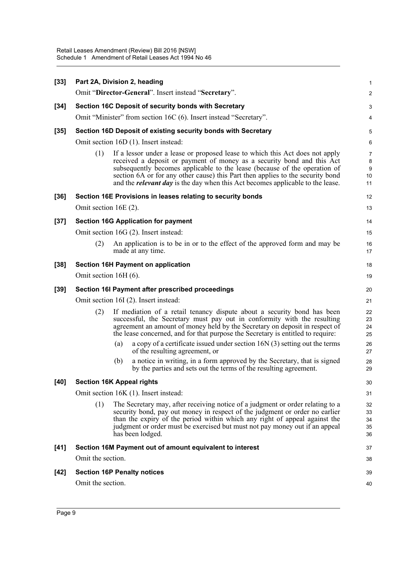| $[33]$ |                                       |     | Part 2A, Division 2, heading                                                                                                                                                                                                                                                                                                                                                                                   | $\mathbf{1}$                |  |  |
|--------|---------------------------------------|-----|----------------------------------------------------------------------------------------------------------------------------------------------------------------------------------------------------------------------------------------------------------------------------------------------------------------------------------------------------------------------------------------------------------------|-----------------------------|--|--|
|        |                                       |     | Omit "Director-General". Insert instead "Secretary".                                                                                                                                                                                                                                                                                                                                                           | 2                           |  |  |
| $[34]$ |                                       |     | Section 16C Deposit of security bonds with Secretary                                                                                                                                                                                                                                                                                                                                                           | 3                           |  |  |
|        |                                       |     | Omit "Minister" from section 16C (6). Insert instead "Secretary".                                                                                                                                                                                                                                                                                                                                              | 4                           |  |  |
| $[35]$ |                                       |     | Section 16D Deposit of existing security bonds with Secretary                                                                                                                                                                                                                                                                                                                                                  | $\overline{5}$              |  |  |
|        |                                       |     | Omit section 16D (1). Insert instead:                                                                                                                                                                                                                                                                                                                                                                          | 6                           |  |  |
|        | (1)                                   |     | If a lessor under a lease or proposed lease to which this Act does not apply<br>received a deposit or payment of money as a security bond and this Act<br>subsequently becomes applicable to the lease (because of the operation of<br>section 6A or for any other cause) this Part then applies to the security bond<br>and the <i>relevant day</i> is the day when this Act becomes applicable to the lease. | 7<br>8<br>$9\,$<br>10<br>11 |  |  |
| $[36]$ |                                       |     | Section 16E Provisions in leases relating to security bonds                                                                                                                                                                                                                                                                                                                                                    | 12                          |  |  |
|        | Omit section 16E (2).                 |     |                                                                                                                                                                                                                                                                                                                                                                                                                | 13                          |  |  |
| $[37]$ |                                       |     | <b>Section 16G Application for payment</b>                                                                                                                                                                                                                                                                                                                                                                     | 14                          |  |  |
|        |                                       |     | Omit section 16G (2). Insert instead:                                                                                                                                                                                                                                                                                                                                                                          | 15                          |  |  |
|        | (2)                                   |     | An application is to be in or to the effect of the approved form and may be<br>made at any time.                                                                                                                                                                                                                                                                                                               | 16<br>17                    |  |  |
| $[38]$ |                                       |     | <b>Section 16H Payment on application</b>                                                                                                                                                                                                                                                                                                                                                                      | 18                          |  |  |
|        | Omit section 16H (6).                 |     |                                                                                                                                                                                                                                                                                                                                                                                                                | 19                          |  |  |
| $[39]$ |                                       |     | Section 16I Payment after prescribed proceedings                                                                                                                                                                                                                                                                                                                                                               | 20                          |  |  |
|        | Omit section 16I (2). Insert instead: |     |                                                                                                                                                                                                                                                                                                                                                                                                                |                             |  |  |
|        | (2)                                   |     | If mediation of a retail tenancy dispute about a security bond has been<br>successful, the Secretary must pay out in conformity with the resulting<br>agreement an amount of money held by the Secretary on deposit in respect of<br>the lease concerned, and for that purpose the Secretary is entitled to require:                                                                                           | 22<br>23<br>24<br>25        |  |  |
|        |                                       | (a) | a copy of a certificate issued under section 16N (3) setting out the terms<br>of the resulting agreement, or                                                                                                                                                                                                                                                                                                   | 26<br>27                    |  |  |
|        |                                       | (b) | a notice in writing, in a form approved by the Secretary, that is signed<br>by the parties and sets out the terms of the resulting agreement.                                                                                                                                                                                                                                                                  | 28<br>29                    |  |  |
| [40]   | <b>Section 16K Appeal rights</b>      |     |                                                                                                                                                                                                                                                                                                                                                                                                                | 30                          |  |  |
|        |                                       |     | Omit section 16K (1). Insert instead:                                                                                                                                                                                                                                                                                                                                                                          | 31                          |  |  |
|        | (1)                                   |     | The Secretary may, after receiving notice of a judgment or order relating to a<br>security bond, pay out money in respect of the judgment or order no earlier<br>than the expiry of the period within which any right of appeal against the<br>judgment or order must be exercised but must not pay money out if an appeal<br>has been lodged.                                                                 | 32<br>33<br>34<br>35<br>36  |  |  |
| $[41]$ |                                       |     | Section 16M Payment out of amount equivalent to interest                                                                                                                                                                                                                                                                                                                                                       | 37                          |  |  |
|        | Omit the section.                     |     |                                                                                                                                                                                                                                                                                                                                                                                                                | 38                          |  |  |
| $[42]$ |                                       |     | <b>Section 16P Penalty notices</b>                                                                                                                                                                                                                                                                                                                                                                             | 39                          |  |  |
|        | Omit the section.                     |     |                                                                                                                                                                                                                                                                                                                                                                                                                | 40                          |  |  |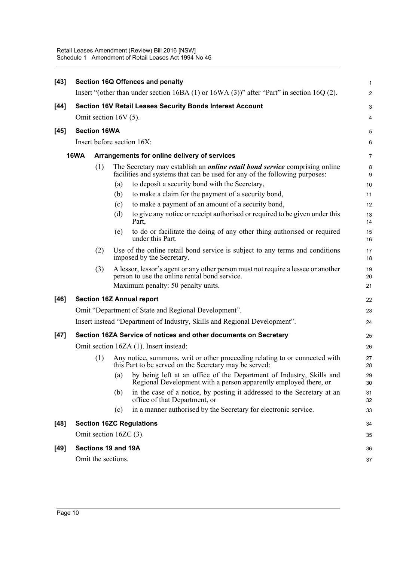| $[43]$ | Section 16Q Offences and penalty |                     |                        |                                                                                                                                                                          |                       |  |  |
|--------|----------------------------------|---------------------|------------------------|--------------------------------------------------------------------------------------------------------------------------------------------------------------------------|-----------------------|--|--|
|        |                                  |                     |                        | Insert "(other than under section $16BA(1)$ or $16WA(3)$ )" after "Part" in section $16Q(2)$ .                                                                           | $\overline{c}$        |  |  |
| $[44]$ |                                  |                     |                        | <b>Section 16V Retail Leases Security Bonds Interest Account</b>                                                                                                         | 3                     |  |  |
|        | Omit section $16V(5)$ .          |                     |                        |                                                                                                                                                                          |                       |  |  |
| $[45]$ |                                  | <b>Section 16WA</b> |                        |                                                                                                                                                                          | 5                     |  |  |
|        |                                  |                     |                        | Insert before section 16X:                                                                                                                                               | 6                     |  |  |
|        | <b>16WA</b>                      |                     |                        | Arrangements for online delivery of services                                                                                                                             | 7                     |  |  |
|        |                                  | (1)                 |                        | The Secretary may establish an <i>online retail bond service</i> comprising online<br>facilities and systems that can be used for any of the following purposes:         | 8<br>$\boldsymbol{9}$ |  |  |
|        |                                  |                     | (a)                    | to deposit a security bond with the Secretary,                                                                                                                           | 10                    |  |  |
|        |                                  |                     | (b)                    | to make a claim for the payment of a security bond,                                                                                                                      | 11                    |  |  |
|        |                                  |                     | (c)                    | to make a payment of an amount of a security bond,                                                                                                                       | 12                    |  |  |
|        |                                  |                     | (d)                    | to give any notice or receipt authorised or required to be given under this<br>Part,                                                                                     | 13<br>14              |  |  |
|        |                                  |                     | (e)                    | to do or facilitate the doing of any other thing authorised or required<br>under this Part.                                                                              | 15<br>16              |  |  |
|        |                                  | (2)                 |                        | Use of the online retail bond service is subject to any terms and conditions<br>imposed by the Secretary.                                                                | 17<br>18              |  |  |
|        |                                  | (3)                 |                        | A lessor, lessor's agent or any other person must not require a lessee or another<br>person to use the online rental bond service.<br>Maximum penalty: 50 penalty units. | 19<br>20<br>21        |  |  |
| $[46]$ |                                  |                     |                        | <b>Section 16Z Annual report</b>                                                                                                                                         | 22                    |  |  |
|        |                                  |                     |                        | Omit "Department of State and Regional Development".                                                                                                                     | 23                    |  |  |
|        |                                  |                     |                        | Insert instead "Department of Industry, Skills and Regional Development".                                                                                                | 24                    |  |  |
| $[47]$ |                                  |                     |                        | Section 16ZA Service of notices and other documents on Secretary                                                                                                         | 25                    |  |  |
|        |                                  |                     |                        | Omit section 16ZA (1). Insert instead:                                                                                                                                   | 26                    |  |  |
|        |                                  | (1)                 |                        | Any notice, summons, writ or other proceeding relating to or connected with<br>this Part to be served on the Secretary may be served:                                    | 27<br>28              |  |  |
|        |                                  |                     | (a)                    | by being left at an office of the Department of Industry, Skills and<br>Regional Development with a person apparently employed there, or                                 | 29<br>30              |  |  |
|        |                                  |                     | (b)                    | in the case of a notice, by posting it addressed to the Secretary at an<br>office of that Department, or                                                                 | 31<br>32              |  |  |
|        |                                  |                     | (c)                    | in a manner authorised by the Secretary for electronic service.                                                                                                          | 33                    |  |  |
| $[48]$ |                                  |                     |                        | <b>Section 16ZC Regulations</b>                                                                                                                                          | 34                    |  |  |
|        |                                  |                     | Omit section 16ZC (3). |                                                                                                                                                                          | 35                    |  |  |
| [49]   |                                  |                     | Sections 19 and 19A    |                                                                                                                                                                          | 36                    |  |  |
|        |                                  |                     | Omit the sections.     |                                                                                                                                                                          | 37                    |  |  |
|        |                                  |                     |                        |                                                                                                                                                                          |                       |  |  |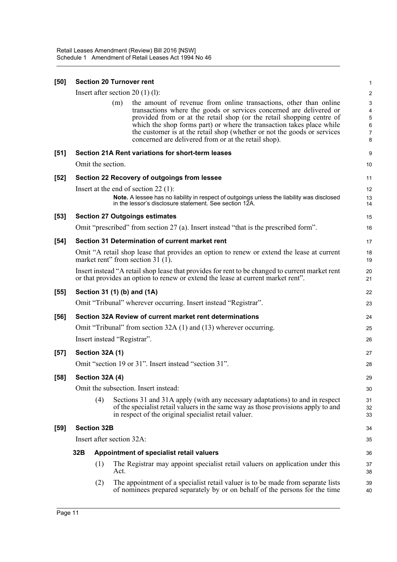| [50]   | <b>Section 20 Turnover rent</b>                                                                                                                                                     |                    |                                                                                                                                                                                                                                                                                                                                                                                                                                       |                                                                 |  |  |  |
|--------|-------------------------------------------------------------------------------------------------------------------------------------------------------------------------------------|--------------------|---------------------------------------------------------------------------------------------------------------------------------------------------------------------------------------------------------------------------------------------------------------------------------------------------------------------------------------------------------------------------------------------------------------------------------------|-----------------------------------------------------------------|--|--|--|
|        |                                                                                                                                                                                     |                    | Insert after section $20(1)(1)$ :                                                                                                                                                                                                                                                                                                                                                                                                     | $\overline{c}$                                                  |  |  |  |
|        |                                                                                                                                                                                     |                    | the amount of revenue from online transactions, other than online<br>(m)<br>transactions where the goods or services concerned are delivered or<br>provided from or at the retail shop (or the retail shopping centre of<br>which the shop forms part) or where the transaction takes place while<br>the customer is at the retail shop (whether or not the goods or services<br>concerned are delivered from or at the retail shop). | $\ensuremath{\mathsf{3}}$<br>4<br>5<br>6<br>$\overline{7}$<br>8 |  |  |  |
| $[51]$ |                                                                                                                                                                                     |                    | Section 21A Rent variations for short-term leases                                                                                                                                                                                                                                                                                                                                                                                     | 9                                                               |  |  |  |
|        |                                                                                                                                                                                     | Omit the section.  |                                                                                                                                                                                                                                                                                                                                                                                                                                       | 10                                                              |  |  |  |
| $[52]$ |                                                                                                                                                                                     |                    | Section 22 Recovery of outgoings from lessee                                                                                                                                                                                                                                                                                                                                                                                          | 11                                                              |  |  |  |
|        |                                                                                                                                                                                     |                    | Insert at the end of section 22 $(1)$ :<br>Note. A lessee has no liability in respect of outgoings unless the liability was disclosed<br>in the lessor's disclosure statement. See section 12A.                                                                                                                                                                                                                                       | 12<br>13<br>14                                                  |  |  |  |
| $[53]$ |                                                                                                                                                                                     |                    | <b>Section 27 Outgoings estimates</b>                                                                                                                                                                                                                                                                                                                                                                                                 | 15                                                              |  |  |  |
|        |                                                                                                                                                                                     |                    | Omit "prescribed" from section 27 (a). Insert instead "that is the prescribed form".                                                                                                                                                                                                                                                                                                                                                  | 16                                                              |  |  |  |
| $[54]$ |                                                                                                                                                                                     |                    | Section 31 Determination of current market rent                                                                                                                                                                                                                                                                                                                                                                                       | 17                                                              |  |  |  |
|        | Omit "A retail shop lease that provides an option to renew or extend the lease at current<br>market rent" from section 31 (1).                                                      |                    |                                                                                                                                                                                                                                                                                                                                                                                                                                       |                                                                 |  |  |  |
|        | Insert instead "A retail shop lease that provides for rent to be changed to current market rent<br>or that provides an option to renew or extend the lease at current market rent". |                    |                                                                                                                                                                                                                                                                                                                                                                                                                                       |                                                                 |  |  |  |
| $[55]$ |                                                                                                                                                                                     |                    | Section 31 (1) (b) and (1A)                                                                                                                                                                                                                                                                                                                                                                                                           | 22                                                              |  |  |  |
|        |                                                                                                                                                                                     |                    | Omit "Tribunal" wherever occurring. Insert instead "Registrar".                                                                                                                                                                                                                                                                                                                                                                       | 23                                                              |  |  |  |
| $[56]$ |                                                                                                                                                                                     |                    | Section 32A Review of current market rent determinations                                                                                                                                                                                                                                                                                                                                                                              | 24                                                              |  |  |  |
|        |                                                                                                                                                                                     |                    | Omit "Tribunal" from section 32A (1) and (13) wherever occurring.                                                                                                                                                                                                                                                                                                                                                                     | 25                                                              |  |  |  |
|        |                                                                                                                                                                                     |                    | Insert instead "Registrar".                                                                                                                                                                                                                                                                                                                                                                                                           | 26                                                              |  |  |  |
| $[57]$ |                                                                                                                                                                                     | Section 32A (1)    |                                                                                                                                                                                                                                                                                                                                                                                                                                       | 27                                                              |  |  |  |
|        |                                                                                                                                                                                     |                    | Omit "section 19 or 31". Insert instead "section 31".                                                                                                                                                                                                                                                                                                                                                                                 | 28                                                              |  |  |  |
| $[58]$ |                                                                                                                                                                                     | Section 32A (4)    |                                                                                                                                                                                                                                                                                                                                                                                                                                       | 29                                                              |  |  |  |
|        |                                                                                                                                                                                     |                    | Omit the subsection. Insert instead:                                                                                                                                                                                                                                                                                                                                                                                                  | 30                                                              |  |  |  |
|        |                                                                                                                                                                                     | (4)                | Sections 31 and 31A apply (with any necessary adaptations) to and in respect<br>of the specialist retail valuers in the same way as those provisions apply to and<br>in respect of the original specialist retail valuer.                                                                                                                                                                                                             | 31<br>32<br>33                                                  |  |  |  |
| [59]   |                                                                                                                                                                                     | <b>Section 32B</b> |                                                                                                                                                                                                                                                                                                                                                                                                                                       | 34                                                              |  |  |  |
|        |                                                                                                                                                                                     |                    | Insert after section 32A:                                                                                                                                                                                                                                                                                                                                                                                                             | 35                                                              |  |  |  |
|        | 32B                                                                                                                                                                                 |                    | Appointment of specialist retail valuers                                                                                                                                                                                                                                                                                                                                                                                              | 36                                                              |  |  |  |
|        |                                                                                                                                                                                     | (1)                | The Registrar may appoint specialist retail valuers on application under this<br>Act.                                                                                                                                                                                                                                                                                                                                                 | 37<br>38                                                        |  |  |  |
|        |                                                                                                                                                                                     | (2)                | The appointment of a specialist retail valuer is to be made from separate lists<br>of nominees prepared separately by or on behalf of the persons for the time                                                                                                                                                                                                                                                                        | 39<br>40                                                        |  |  |  |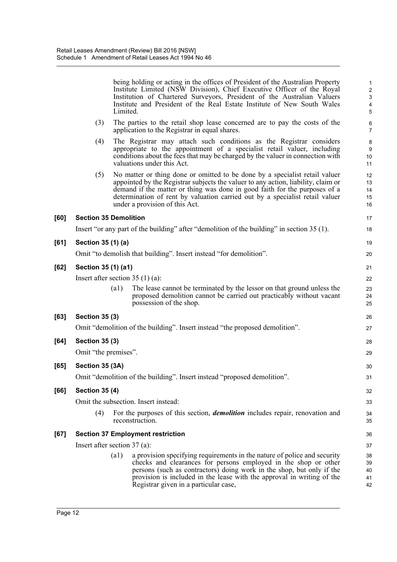|      |                                   | Limited.           | being holding or acting in the offices of President of the Australian Property<br>Institute Limited (NSW Division), Chief Executive Officer of the Royal<br>Institution of Chartered Surveyors, President of the Australian Valuers<br>Institute and President of the Real Estate Institute of New South Wales                                                   | $\mathbf{1}$<br>$\boldsymbol{2}$<br>$\ensuremath{\mathsf{3}}$<br>4<br>$\overline{5}$ |  |  |  |
|------|-----------------------------------|--------------------|------------------------------------------------------------------------------------------------------------------------------------------------------------------------------------------------------------------------------------------------------------------------------------------------------------------------------------------------------------------|--------------------------------------------------------------------------------------|--|--|--|
|      | (3)                               |                    | The parties to the retail shop lease concerned are to pay the costs of the<br>application to the Registrar in equal shares.                                                                                                                                                                                                                                      | $\,6\,$<br>$\overline{7}$                                                            |  |  |  |
|      | (4)                               |                    | The Registrar may attach such conditions as the Registrar considers<br>appropriate to the appointment of a specialist retail valuer, including<br>conditions about the fees that may be charged by the valuer in connection with<br>valuations under this Act.                                                                                                   | 8<br>$9\,$<br>10<br>11                                                               |  |  |  |
|      | (5)                               |                    | No matter or thing done or omitted to be done by a specialist retail valuer<br>appointed by the Registrar subjects the valuer to any action, liability, claim or<br>demand if the matter or thing was done in good faith for the purposes of a<br>determination of rent by valuation carried out by a specialist retail valuer<br>under a provision of this Act. | 12<br>13<br>14<br>15<br>16                                                           |  |  |  |
| [60] | <b>Section 35 Demolition</b>      |                    |                                                                                                                                                                                                                                                                                                                                                                  | 17                                                                                   |  |  |  |
|      |                                   |                    | Insert "or any part of the building" after "demolition of the building" in section 35 (1).                                                                                                                                                                                                                                                                       | 18                                                                                   |  |  |  |
| [61] | Section 35 (1) (a)                |                    |                                                                                                                                                                                                                                                                                                                                                                  | 19                                                                                   |  |  |  |
|      |                                   |                    | Omit "to demolish that building". Insert instead "for demolition".                                                                                                                                                                                                                                                                                               | 20                                                                                   |  |  |  |
| [62] | Section 35 (1) (a1)               |                    |                                                                                                                                                                                                                                                                                                                                                                  | 21                                                                                   |  |  |  |
|      | Insert after section $35(1)(a)$ : |                    |                                                                                                                                                                                                                                                                                                                                                                  |                                                                                      |  |  |  |
|      |                                   | $\left( a1\right)$ | The lease cannot be terminated by the lessor on that ground unless the<br>proposed demolition cannot be carried out practicably without vacant<br>possession of the shop.                                                                                                                                                                                        | 23<br>24<br>25                                                                       |  |  |  |
| [63] | <b>Section 35 (3)</b>             |                    |                                                                                                                                                                                                                                                                                                                                                                  | 26                                                                                   |  |  |  |
|      |                                   |                    | Omit "demolition of the building". Insert instead "the proposed demolition".                                                                                                                                                                                                                                                                                     | 27                                                                                   |  |  |  |
| [64] | <b>Section 35 (3)</b>             |                    |                                                                                                                                                                                                                                                                                                                                                                  | 28                                                                                   |  |  |  |
|      | Omit "the premises".              |                    |                                                                                                                                                                                                                                                                                                                                                                  | 29                                                                                   |  |  |  |
| [65] | Section 35 (3A)                   |                    |                                                                                                                                                                                                                                                                                                                                                                  | 30                                                                                   |  |  |  |
|      |                                   |                    | Omit "demolition of the building". Insert instead "proposed demolition"                                                                                                                                                                                                                                                                                          | 31                                                                                   |  |  |  |
| [66] | <b>Section 35 (4)</b>             |                    |                                                                                                                                                                                                                                                                                                                                                                  | 32                                                                                   |  |  |  |
|      |                                   |                    | Omit the subsection. Insert instead:                                                                                                                                                                                                                                                                                                                             | 33                                                                                   |  |  |  |
|      | (4)                               |                    | For the purposes of this section, <i>demolition</i> includes repair, renovation and<br>reconstruction.                                                                                                                                                                                                                                                           | 34<br>35                                                                             |  |  |  |
| [67] |                                   |                    | <b>Section 37 Employment restriction</b>                                                                                                                                                                                                                                                                                                                         | 36                                                                                   |  |  |  |
|      | Insert after section $37$ (a):    |                    |                                                                                                                                                                                                                                                                                                                                                                  | 37                                                                                   |  |  |  |
|      |                                   | (a1)               | a provision specifying requirements in the nature of police and security<br>checks and clearances for persons employed in the shop or other<br>persons (such as contractors) doing work in the shop, but only if the<br>provision is included in the lease with the approval in writing of the<br>Registrar given in a particular case,                          | 38<br>39<br>40<br>41<br>42                                                           |  |  |  |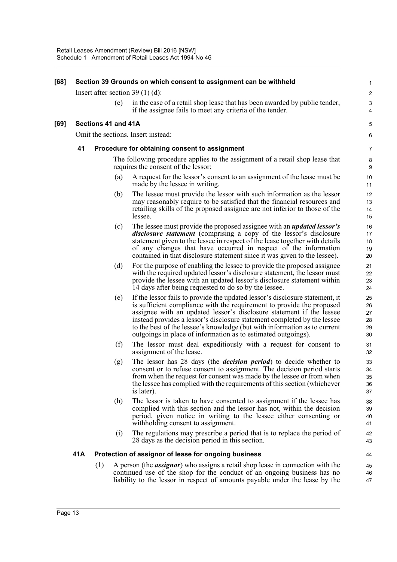| [68] |     |                     |     | Section 39 Grounds on which consent to assignment can be withheld                                                                                                                                                                                                                                                                                                                                                                                       | 1                                |
|------|-----|---------------------|-----|---------------------------------------------------------------------------------------------------------------------------------------------------------------------------------------------------------------------------------------------------------------------------------------------------------------------------------------------------------------------------------------------------------------------------------------------------------|----------------------------------|
|      |     |                     |     | Insert after section 39 $(1)$ (d):                                                                                                                                                                                                                                                                                                                                                                                                                      | $\overline{c}$                   |
|      |     |                     | (e) | in the case of a retail shop lease that has been awarded by public tender,<br>if the assignee fails to meet any criteria of the tender.                                                                                                                                                                                                                                                                                                                 | 3<br>$\overline{4}$              |
| [69] |     | Sections 41 and 41A |     |                                                                                                                                                                                                                                                                                                                                                                                                                                                         | 5                                |
|      |     |                     |     | Omit the sections. Insert instead:                                                                                                                                                                                                                                                                                                                                                                                                                      | 6                                |
|      | 41  |                     |     | Procedure for obtaining consent to assignment                                                                                                                                                                                                                                                                                                                                                                                                           | 7                                |
|      |     |                     |     | The following procedure applies to the assignment of a retail shop lease that<br>requires the consent of the lessor:                                                                                                                                                                                                                                                                                                                                    | 8<br>9                           |
|      |     |                     | (a) | A request for the lessor's consent to an assignment of the lease must be<br>made by the lessee in writing.                                                                                                                                                                                                                                                                                                                                              | 10<br>11                         |
|      |     |                     | (b) | The lessee must provide the lessor with such information as the lessor<br>may reasonably require to be satisfied that the financial resources and<br>retailing skills of the proposed assignee are not inferior to those of the<br>lessee.                                                                                                                                                                                                              | 12<br>13<br>14<br>15             |
|      |     |                     | (c) | The lessee must provide the proposed assignee with an <i>updated lessor's</i><br><i>disclosure statement</i> (comprising a copy of the lessor's disclosure<br>statement given to the lessee in respect of the lease together with details<br>of any changes that have occurred in respect of the information<br>contained in that disclosure statement since it was given to the lessee).                                                               | 16<br>17<br>18<br>19<br>20       |
|      |     |                     | (d) | For the purpose of enabling the lessee to provide the proposed assignee<br>with the required updated lessor's disclosure statement, the lessor must<br>provide the lessee with an updated lessor's disclosure statement within<br>14 days after being requested to do so by the lessee.                                                                                                                                                                 | 21<br>22<br>23<br>24             |
|      |     |                     | (e) | If the lessor fails to provide the updated lessor's disclosure statement, it<br>is sufficient compliance with the requirement to provide the proposed<br>assignee with an updated lessor's disclosure statement if the lessee<br>instead provides a lessor's disclosure statement completed by the lessee<br>to the best of the lessee's knowledge (but with information as to current<br>outgoings in place of information as to estimated outgoings). | 25<br>26<br>27<br>28<br>29<br>30 |
|      |     |                     | (f) | The lessor must deal expeditiously with a request for consent to<br>assignment of the lease.                                                                                                                                                                                                                                                                                                                                                            | 31<br>32                         |
|      |     |                     | (g) | The lessor has 28 days (the <i>decision period</i> ) to decide whether to<br>consent or to refuse consent to assignment. The decision period starts<br>from when the request for consent was made by the lessee or from when<br>the lessee has complied with the requirements of this section (whichever<br>is later).                                                                                                                                  | 33<br>34<br>35<br>36<br>37       |
|      |     |                     | (h) | The lessor is taken to have consented to assignment if the lessee has<br>complied with this section and the lessor has not, within the decision<br>period, given notice in writing to the lessee either consenting or<br>with holding consent to assignment.                                                                                                                                                                                            | 38<br>39<br>40<br>41             |
|      |     |                     | (i) | The regulations may prescribe a period that is to replace the period of<br>28 days as the decision period in this section.                                                                                                                                                                                                                                                                                                                              | 42<br>43                         |
|      | 41A |                     |     | Protection of assignor of lease for ongoing business                                                                                                                                                                                                                                                                                                                                                                                                    | 44                               |
|      |     | (1)                 |     | A person (the <i>assignor</i> ) who assigns a retail shop lease in connection with the<br>continued use of the shop for the conduct of an ongoing business has no<br>liability to the lessor in respect of amounts payable under the lease by the                                                                                                                                                                                                       | 45<br>46<br>47                   |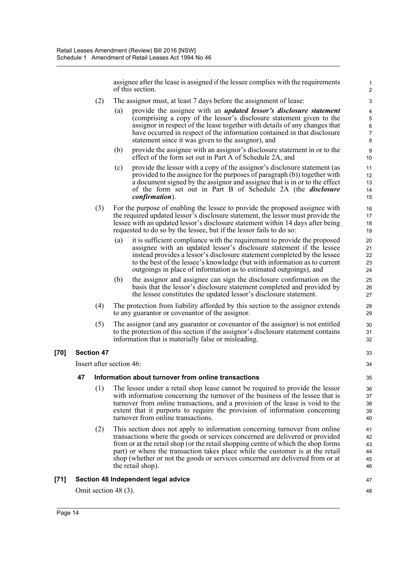assignee after the lease is assigned if the lessee complies with the requirements of this section.

47 48

- (2) The assignor must, at least 7 days before the assignment of lease:
	- (a) provide the assignee with an *updated lessor's disclosure statement* (comprising a copy of the lessor's disclosure statement given to the assignor in respect of the lease together with details of any changes that have occurred in respect of the information contained in that disclosure statement since it was given to the assignor), and
	- (b) provide the assignee with an assignor's disclosure statement in or to the effect of the form set out in Part A of Schedule 2A, and
	- (c) provide the lessor with a copy of the assignor's disclosure statement (as provided to the assignee for the purposes of paragraph (b)) together with a document signed by the assignor and assignee that is in or to the effect of the form set out in Part B of Schedule 2A (the *disclosure confirmation*).
- (3) For the purpose of enabling the lessee to provide the proposed assignee with the required updated lessor's disclosure statement, the lessor must provide the lessee with an updated lessor's disclosure statement within 14 days after being requested to do so by the lessee, but if the lessor fails to do so:
	- (a) it is sufficient compliance with the requirement to provide the proposed assignee with an updated lessor's disclosure statement if the lessee instead provides a lessor's disclosure statement completed by the lessee to the best of the lessee's knowledge (but with information as to current outgoings in place of information as to estimated outgoings), and
	- (b) the assignor and assignee can sign the disclosure confirmation on the basis that the lessor's disclosure statement completed and provided by the lessee constitutes the updated lessor's disclosure statement.
- (4) The protection from liability afforded by this section to the assignor extends to any guarantor or covenantor of the assignor.
- (5) The assignor (and any guarantor or covenantor of the assignor) is not entitled to the protection of this section if the assignor's disclosure statement contains information that is materially false or misleading.

#### **[70] Section 47**

Insert after section 46:

#### **47 Information about turnover from online transactions**

- (1) The lessee under a retail shop lease cannot be required to provide the lessor with information concerning the turnover of the business of the lessee that is turnover from online transactions, and a provision of the lease is void to the extent that it purports to require the provision of information concerning turnover from online transactions.
- (2) This section does not apply to information concerning turnover from online transactions where the goods or services concerned are delivered or provided from or at the retail shop (or the retail shopping centre of which the shop forms part) or where the transaction takes place while the customer is at the retail shop (whether or not the goods or services concerned are delivered from or at the retail shop).

#### **[71] Section 48 Independent legal advice**

Omit section 48 (3).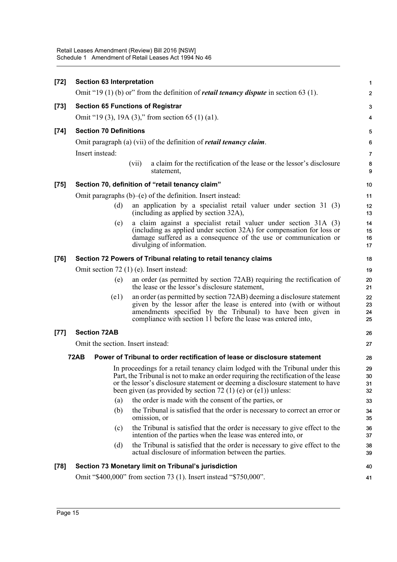| $[72]$ | <b>Section 63 Interpretation</b>  |                                                                                                                                                                                                                                                                                                                          | $\mathbf 1$              |
|--------|-----------------------------------|--------------------------------------------------------------------------------------------------------------------------------------------------------------------------------------------------------------------------------------------------------------------------------------------------------------------------|--------------------------|
|        |                                   | Omit "19 (1) (b) or" from the definition of <i>retail tenancy dispute</i> in section 63 (1).                                                                                                                                                                                                                             | $\overline{2}$           |
| $[73]$ |                                   | <b>Section 65 Functions of Registrar</b>                                                                                                                                                                                                                                                                                 | 3                        |
|        |                                   | Omit "19 (3), 19A (3)," from section 65 (1) (a1).                                                                                                                                                                                                                                                                        | $\overline{4}$           |
| $[74]$ | <b>Section 70 Definitions</b>     |                                                                                                                                                                                                                                                                                                                          | 5                        |
|        |                                   | Omit paragraph (a) (vii) of the definition of <i>retail tenancy claim</i> .                                                                                                                                                                                                                                              | 6                        |
|        | Insert instead:                   |                                                                                                                                                                                                                                                                                                                          | 7                        |
|        |                                   | a claim for the rectification of the lease or the lessor's disclosure<br>(vii)<br>statement,                                                                                                                                                                                                                             | 8<br>9                   |
| $[75]$ |                                   | Section 70, definition of "retail tenancy claim"                                                                                                                                                                                                                                                                         | 10                       |
|        |                                   | Omit paragraphs (b)–(e) of the definition. Insert instead:                                                                                                                                                                                                                                                               | 11                       |
|        | (d)                               | an application by a specialist retail valuer under section $31(3)$<br>(including as applied by section 32A),                                                                                                                                                                                                             | 12<br>13                 |
|        | (e)                               | a claim against a specialist retail valuer under section 31A (3)<br>(including as applied under section 32A) for compensation for loss or<br>damage suffered as a consequence of the use or communication or<br>divulging of information.                                                                                | 14<br>15<br>16<br>17     |
| $[76]$ |                                   | Section 72 Powers of Tribunal relating to retail tenancy claims                                                                                                                                                                                                                                                          | 18                       |
|        |                                   | Omit section $72$ (1) (e). Insert instead:                                                                                                                                                                                                                                                                               | 19                       |
|        | (e)                               | an order (as permitted by section 72AB) requiring the rectification of<br>the lease or the lessor's disclosure statement,                                                                                                                                                                                                | 20<br>21                 |
|        | (e1)                              | an order (as permitted by section 72AB) deeming a disclosure statement<br>given by the lessor after the lease is entered into (with or without<br>amendments specified by the Tribunal) to have been given in<br>compliance with section 11 before the lease was entered into,                                           | 22<br>23<br>24<br>25     |
| $[77]$ | <b>Section 72AB</b>               |                                                                                                                                                                                                                                                                                                                          | 26                       |
|        | Omit the section. Insert instead: |                                                                                                                                                                                                                                                                                                                          | 27                       |
|        | <b>72AB</b>                       | Power of Tribunal to order rectification of lease or disclosure statement                                                                                                                                                                                                                                                | 28                       |
|        |                                   | In proceedings for a retail tenancy claim lodged with the Tribunal under this<br>Part, the Tribunal is not to make an order requiring the rectification of the lease<br>or the lessor's disclosure statement or deeming a disclosure statement to have<br>been given (as provided by section 72 (1) (e) or (e1)) unless: | 29<br>$30\,$<br>31<br>32 |
|        | (a)                               | the order is made with the consent of the parties, or                                                                                                                                                                                                                                                                    | 33                       |
|        | (b)                               | the Tribunal is satisfied that the order is necessary to correct an error or<br>omission, or                                                                                                                                                                                                                             | 34<br>35                 |
|        | (c)                               | the Tribunal is satisfied that the order is necessary to give effect to the<br>intention of the parties when the lease was entered into, or                                                                                                                                                                              | 36<br>37                 |
|        | (d)                               | the Tribunal is satisfied that the order is necessary to give effect to the<br>actual disclosure of information between the parties.                                                                                                                                                                                     | 38<br>39                 |
| $[78]$ |                                   | Section 73 Monetary limit on Tribunal's jurisdiction                                                                                                                                                                                                                                                                     | 40                       |
|        |                                   | Omit "\$400,000" from section 73 (1). Insert instead "\$750,000".                                                                                                                                                                                                                                                        | 41                       |
|        |                                   |                                                                                                                                                                                                                                                                                                                          |                          |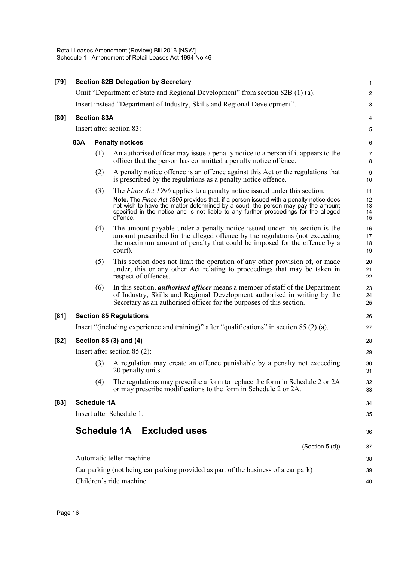| $[79]$ |                                                                                    |                    | <b>Section 82B Delegation by Secretary</b>                                                                                                                                                                                                                                                                                                                        | $\mathbf{1}$               |
|--------|------------------------------------------------------------------------------------|--------------------|-------------------------------------------------------------------------------------------------------------------------------------------------------------------------------------------------------------------------------------------------------------------------------------------------------------------------------------------------------------------|----------------------------|
|        |                                                                                    |                    | Omit "Department of State and Regional Development" from section 82B (1) (a).                                                                                                                                                                                                                                                                                     | $\overline{c}$             |
|        |                                                                                    |                    | Insert instead "Department of Industry, Skills and Regional Development".                                                                                                                                                                                                                                                                                         | 3                          |
| [80]   |                                                                                    | <b>Section 83A</b> |                                                                                                                                                                                                                                                                                                                                                                   | 4                          |
|        | Insert after section 83:                                                           |                    |                                                                                                                                                                                                                                                                                                                                                                   | 5                          |
|        | 83A                                                                                |                    | <b>Penalty notices</b>                                                                                                                                                                                                                                                                                                                                            | 6                          |
|        |                                                                                    | (1)                | An authorised officer may issue a penalty notice to a person if it appears to the<br>officer that the person has committed a penalty notice offence.                                                                                                                                                                                                              | $\overline{7}$<br>8        |
|        |                                                                                    | (2)                | A penalty notice offence is an offence against this Act or the regulations that<br>is prescribed by the regulations as a penalty notice offence.                                                                                                                                                                                                                  | $\boldsymbol{9}$<br>10     |
|        |                                                                                    | (3)                | The <i>Fines Act 1996</i> applies to a penalty notice issued under this section.<br>Note. The Fines Act 1996 provides that, if a person issued with a penalty notice does<br>not wish to have the matter determined by a court, the person may pay the amount<br>specified in the notice and is not liable to any further proceedings for the alleged<br>offence. | 11<br>12<br>13<br>14<br>15 |
|        |                                                                                    | (4)                | The amount payable under a penalty notice issued under this section is the<br>amount prescribed for the alleged offence by the regulations (not exceeding<br>the maximum amount of penalty that could be imposed for the offence by a<br>court).                                                                                                                  | 16<br>17<br>18<br>19       |
|        |                                                                                    | (5)                | This section does not limit the operation of any other provision of, or made<br>under, this or any other Act relating to proceedings that may be taken in<br>respect of offences.                                                                                                                                                                                 | 20<br>21<br>22             |
|        |                                                                                    | (6)                | In this section, <i>authorised officer</i> means a member of staff of the Department<br>of Industry, Skills and Regional Development authorised in writing by the<br>Secretary as an authorised officer for the purposes of this section.                                                                                                                         | 23<br>24<br>25             |
| [81]   |                                                                                    |                    | <b>Section 85 Regulations</b>                                                                                                                                                                                                                                                                                                                                     | 26                         |
|        |                                                                                    |                    | Insert "(including experience and training)" after "qualifications" in section $85(2)(a)$ .                                                                                                                                                                                                                                                                       | 27                         |
| $[82]$ | Section 85 (3) and (4)                                                             |                    |                                                                                                                                                                                                                                                                                                                                                                   | 28                         |
|        |                                                                                    |                    | Insert after section $85(2)$ :                                                                                                                                                                                                                                                                                                                                    | 29                         |
|        |                                                                                    | (3)                | A regulation may create an offence punishable by a penalty not exceeding<br>20 penalty units.                                                                                                                                                                                                                                                                     | 30<br>31                   |
|        |                                                                                    | (4)                | The regulations may prescribe a form to replace the form in Schedule 2 or 2A<br>or may prescribe modifications to the form in Schedule 2 or 2A.                                                                                                                                                                                                                   | 32<br>33                   |
| [83]   |                                                                                    | <b>Schedule 1A</b> |                                                                                                                                                                                                                                                                                                                                                                   | 34                         |
|        |                                                                                    |                    | Insert after Schedule 1:                                                                                                                                                                                                                                                                                                                                          | 35                         |
|        |                                                                                    |                    | Schedule 1A Excluded uses                                                                                                                                                                                                                                                                                                                                         | 36                         |
|        |                                                                                    |                    | (Section $5(d)$ )                                                                                                                                                                                                                                                                                                                                                 | 37                         |
|        |                                                                                    |                    | Automatic teller machine                                                                                                                                                                                                                                                                                                                                          | 38                         |
|        | Car parking (not being car parking provided as part of the business of a car park) |                    |                                                                                                                                                                                                                                                                                                                                                                   | 39                         |
|        |                                                                                    |                    | Children's ride machine                                                                                                                                                                                                                                                                                                                                           | 40                         |
|        |                                                                                    |                    |                                                                                                                                                                                                                                                                                                                                                                   |                            |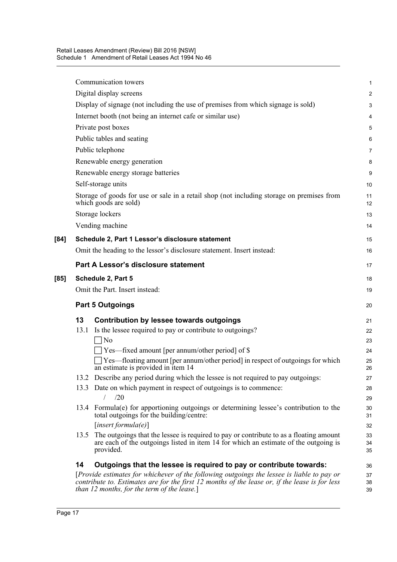|      |                                | Communication towers                                                                                                                                                                                                                          | 1              |  |
|------|--------------------------------|-----------------------------------------------------------------------------------------------------------------------------------------------------------------------------------------------------------------------------------------------|----------------|--|
|      |                                | Digital display screens                                                                                                                                                                                                                       | $\overline{2}$ |  |
|      |                                | Display of signage (not including the use of premises from which signage is sold)                                                                                                                                                             | 3              |  |
|      |                                | Internet booth (not being an internet cafe or similar use)                                                                                                                                                                                    | 4              |  |
|      |                                | Private post boxes                                                                                                                                                                                                                            | 5              |  |
|      |                                | Public tables and seating                                                                                                                                                                                                                     |                |  |
|      | Public telephone               |                                                                                                                                                                                                                                               |                |  |
|      | Renewable energy generation    |                                                                                                                                                                                                                                               |                |  |
|      |                                | Renewable energy storage batteries                                                                                                                                                                                                            | 9              |  |
|      |                                | Self-storage units                                                                                                                                                                                                                            | 10             |  |
|      |                                | Storage of goods for use or sale in a retail shop (not including storage on premises from<br>which goods are sold)                                                                                                                            | 11<br>12       |  |
|      |                                | Storage lockers                                                                                                                                                                                                                               | 13             |  |
|      |                                | Vending machine                                                                                                                                                                                                                               | 14             |  |
| [84] |                                | Schedule 2, Part 1 Lessor's disclosure statement                                                                                                                                                                                              | 15             |  |
|      |                                | Omit the heading to the lessor's disclosure statement. Insert instead:                                                                                                                                                                        | 16             |  |
|      |                                | Part A Lessor's disclosure statement                                                                                                                                                                                                          | 17             |  |
| [85] |                                | Schedule 2, Part 5                                                                                                                                                                                                                            | 18             |  |
|      | Omit the Part. Insert instead: |                                                                                                                                                                                                                                               |                |  |
|      | <b>Part 5 Outgoings</b>        |                                                                                                                                                                                                                                               |                |  |
|      | 13                             | <b>Contribution by lessee towards outgoings</b>                                                                                                                                                                                               | 21             |  |
|      | 13.1                           | Is the lessee required to pay or contribute to outgoings?                                                                                                                                                                                     | 22             |  |
|      |                                | N <sub>o</sub>                                                                                                                                                                                                                                | 23             |  |
|      |                                | Yes—fixed amount [per annum/other period] of \$                                                                                                                                                                                               | 24             |  |
|      |                                | Yes—floating amount [per annum/other period] in respect of outgoings for which<br>an estimate is provided in item 14                                                                                                                          | 25<br>26       |  |
|      |                                | 13.2 Describe any period during which the lessee is not required to pay outgoings:                                                                                                                                                            | 27             |  |
|      | 13.3                           | Date on which payment in respect of outgoings is to commence:                                                                                                                                                                                 | 28             |  |
|      |                                | /20                                                                                                                                                                                                                                           | 29             |  |
|      |                                | 13.4 Formula(e) for apportioning outgoings or determining lessee's contribution to the<br>total outgoings for the building/centre:                                                                                                            | 30<br>31       |  |
|      |                                | [insert formula(e)]                                                                                                                                                                                                                           | 32             |  |
|      | 13.5                           | The outgoings that the lessee is required to pay or contribute to as a floating amount<br>are each of the outgoings listed in item 14 for which an estimate of the outgoing is<br>provided.                                                   | 33<br>34<br>35 |  |
|      | 14                             | Outgoings that the lessee is required to pay or contribute towards:                                                                                                                                                                           | 36             |  |
|      |                                | [Provide estimates for whichever of the following outgoings the lessee is liable to pay or<br>contribute to. Estimates are for the first 12 months of the lease or, if the lease is for less<br>than $12$ months, for the term of the lease.] | 37<br>38<br>39 |  |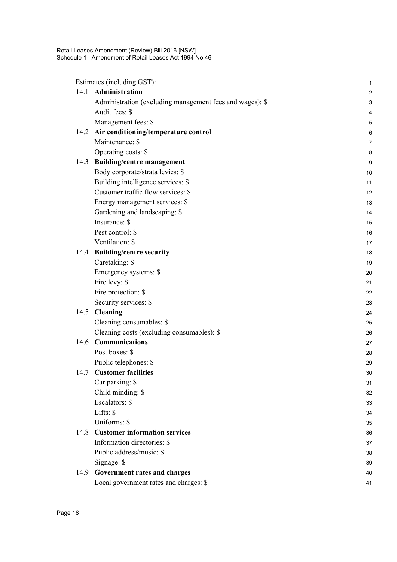Estimates (including GST):

|      | Estimates (including GST):                               | $\mathbf{1}$              |
|------|----------------------------------------------------------|---------------------------|
| 14.1 | Administration                                           | $\overline{\mathbf{c}}$   |
|      | Administration (excluding management fees and wages): \$ | $\ensuremath{\mathsf{3}}$ |
|      | Audit fees: \$                                           | 4                         |
|      | Management fees: \$                                      | 5                         |
| 14.2 | Air conditioning/temperature control                     | 6                         |
|      | Maintenance: \$                                          | $\overline{7}$            |
|      | Operating costs: \$                                      | 8                         |
|      | 14.3 Building/centre management                          | 9                         |
|      | Body corporate/strata levies: \$                         | 10                        |
|      | Building intelligence services: \$                       | 11                        |
|      | Customer traffic flow services: \$                       | 12                        |
|      | Energy management services: \$                           | 13                        |
|      | Gardening and landscaping: \$                            | 14                        |
|      | Insurance: \$                                            | 15                        |
|      | Pest control: \$                                         | 16                        |
|      | Ventilation: \$                                          | 17                        |
|      | 14.4 Building/centre security                            | 18                        |
|      | Caretaking: \$                                           | 19                        |
|      | Emergency systems: \$                                    | 20                        |
|      | Fire levy: \$                                            | 21                        |
|      | Fire protection: \$                                      | 22                        |
|      | Security services: \$                                    | 23                        |
| 14.5 | <b>Cleaning</b>                                          | 24                        |
|      | Cleaning consumables: \$                                 | 25                        |
|      | Cleaning costs (excluding consumables): \$               | 26                        |
|      | 14.6 Communications                                      | 27                        |
|      | Post boxes: \$                                           | 28                        |
|      | Public telephones: \$                                    | 29                        |
| 14.7 | <b>Customer facilities</b>                               | 30                        |
|      | Car parking: \$                                          | 31                        |
|      | Child minding: \$                                        | 32                        |
|      | Escalators: \$                                           | 33                        |
|      | Lifts: \$                                                | 34                        |
|      | Uniforms: \$                                             | 35                        |
| 14.8 | <b>Customer information services</b>                     | 36                        |
|      | Information directories: \$                              | 37                        |
|      | Public address/music: \$                                 | 38                        |
|      | Signage: \$                                              | 39                        |
| 14.9 | Government rates and charges                             | 40                        |
|      | Local government rates and charges: \$                   | 41                        |
|      |                                                          |                           |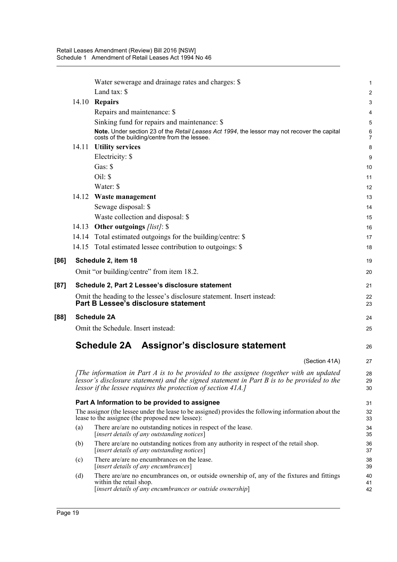|      |                                                                                                                                                           | Water sewerage and drainage rates and charges: \$                                                                                                                                                                                                     | 1                   |
|------|-----------------------------------------------------------------------------------------------------------------------------------------------------------|-------------------------------------------------------------------------------------------------------------------------------------------------------------------------------------------------------------------------------------------------------|---------------------|
|      |                                                                                                                                                           | Land tax: \$                                                                                                                                                                                                                                          | 2                   |
|      |                                                                                                                                                           | 14.10 Repairs                                                                                                                                                                                                                                         | 3                   |
|      |                                                                                                                                                           | Repairs and maintenance: \$                                                                                                                                                                                                                           | 4                   |
|      |                                                                                                                                                           | Sinking fund for repairs and maintenance: \$                                                                                                                                                                                                          | 5                   |
|      |                                                                                                                                                           | Note. Under section 23 of the Retail Leases Act 1994, the lessor may not recover the capital<br>costs of the building/centre from the lessee.                                                                                                         | 6<br>$\overline{7}$ |
|      | 14.11                                                                                                                                                     | <b>Utility services</b>                                                                                                                                                                                                                               | 8                   |
|      |                                                                                                                                                           | Electricity: \$                                                                                                                                                                                                                                       | 9                   |
|      |                                                                                                                                                           | Gas: $\$                                                                                                                                                                                                                                              | 10                  |
|      |                                                                                                                                                           | Oil: \$                                                                                                                                                                                                                                               | 11                  |
|      |                                                                                                                                                           | Water: \$                                                                                                                                                                                                                                             | 12                  |
|      |                                                                                                                                                           | 14.12 Waste management                                                                                                                                                                                                                                | 13                  |
|      |                                                                                                                                                           | Sewage disposal: \$                                                                                                                                                                                                                                   | 14                  |
|      |                                                                                                                                                           | Waste collection and disposal: \$                                                                                                                                                                                                                     | 15                  |
|      | 14.13                                                                                                                                                     | Other outgoings [list]: \$                                                                                                                                                                                                                            | 16                  |
|      |                                                                                                                                                           | 14.14 Total estimated outgoings for the building/centre: \$                                                                                                                                                                                           | 17                  |
|      |                                                                                                                                                           | 14.15 Total estimated lessee contribution to outgoings: \$                                                                                                                                                                                            | 18                  |
| [86] |                                                                                                                                                           | Schedule 2, item 18                                                                                                                                                                                                                                   | 19                  |
|      |                                                                                                                                                           | Omit "or building/centre" from item 18.2.                                                                                                                                                                                                             | 20                  |
| [87] |                                                                                                                                                           | Schedule 2, Part 2 Lessee's disclosure statement                                                                                                                                                                                                      | 21                  |
|      |                                                                                                                                                           | Omit the heading to the lessee's disclosure statement. Insert instead:<br>Part B Lessee's disclosure statement                                                                                                                                        | 22<br>23            |
| [88] |                                                                                                                                                           | <b>Schedule 2A</b>                                                                                                                                                                                                                                    | 24                  |
|      |                                                                                                                                                           | Omit the Schedule. Insert instead:                                                                                                                                                                                                                    | 25                  |
|      |                                                                                                                                                           | Schedule 2A Assignor's disclosure statement                                                                                                                                                                                                           | 26                  |
|      |                                                                                                                                                           | (Section 41A)                                                                                                                                                                                                                                         | 27                  |
|      |                                                                                                                                                           | [The information in Part A is to be provided to the assignee (together with an updated<br>lessor's disclosure statement) and the signed statement in Part B is to be provided to the<br>lessor if the lessee requires the protection of section 41A.] | 28<br>29<br>30      |
|      | Part A Information to be provided to assignee                                                                                                             |                                                                                                                                                                                                                                                       | 31                  |
|      | The assignor (the lessee under the lease to be assigned) provides the following information about the<br>lease to the assignee (the proposed new lessee): |                                                                                                                                                                                                                                                       | 32<br>33            |
|      | (a)                                                                                                                                                       | There are/are no outstanding notices in respect of the lease.<br>[insert details of any outstanding notices]                                                                                                                                          | 34<br>35            |
|      | (b)                                                                                                                                                       | There are/are no outstanding notices from any authority in respect of the retail shop.<br>[insert details of any outstanding notices]                                                                                                                 | 36<br>37            |
|      | (c)                                                                                                                                                       | There are/are no encumbrances on the lease.<br>[insert details of any encumbrances]                                                                                                                                                                   | 38<br>39            |
|      | (d)                                                                                                                                                       | There are/are no encumbrances on, or outside ownership of, any of the fixtures and fittings<br>within the retail shop.<br>[insert details of any encumbrances or outside ownership]                                                                   | 40<br>41<br>42      |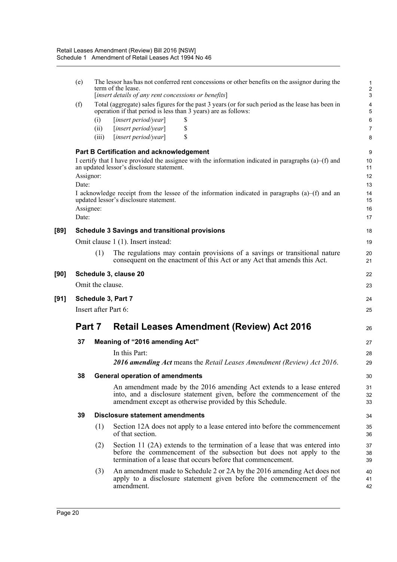|      | (e)                                      |                      | The lessor has/has not conferred rent concessions or other benefits on the assignor during the<br>term of the lease.<br>[insert details of any rent concessions or benefits]                                                                                                                                                                         | 1<br>$\frac{2}{3}$                                |
|------|------------------------------------------|----------------------|------------------------------------------------------------------------------------------------------------------------------------------------------------------------------------------------------------------------------------------------------------------------------------------------------------------------------------------------------|---------------------------------------------------|
|      | (f)                                      | (i)<br>(ii)<br>(iii) | Total (aggregate) sales figures for the past 3 years (or for such period as the lease has been in<br>operation if that period is less than 3 years) are as follows:<br>[insert period/year]<br>S<br>\$<br>[insert period/year]<br>\$<br>[insert period/year]                                                                                         | 4<br>5<br>6<br>7<br>8                             |
|      | Assignor:<br>Date:<br>Assignee:<br>Date: |                      | <b>Part B Certification and acknowledgement</b><br>I certify that I have provided the assignee with the information indicated in paragraphs $(a)$ –(f) and<br>an updated lessor's disclosure statement.<br>I acknowledge receipt from the lessee of the information indicated in paragraphs (a)–(f) and an<br>updated lessor's disclosure statement. | 9<br>10<br>11<br>12<br>13<br>14<br>15<br>16<br>17 |
| [89] |                                          |                      | <b>Schedule 3 Savings and transitional provisions</b>                                                                                                                                                                                                                                                                                                | 18                                                |
|      |                                          |                      | Omit clause 1 (1). Insert instead:                                                                                                                                                                                                                                                                                                                   | 19                                                |
|      |                                          | (1)                  | The regulations may contain provisions of a savings or transitional nature<br>consequent on the enactment of this Act or any Act that amends this Act.                                                                                                                                                                                               | 20<br>21                                          |
| [90] |                                          |                      | Schedule 3, clause 20                                                                                                                                                                                                                                                                                                                                | 22                                                |
|      |                                          | Omit the clause.     |                                                                                                                                                                                                                                                                                                                                                      | 23                                                |
| [91] |                                          |                      | Schedule 3, Part 7                                                                                                                                                                                                                                                                                                                                   |                                                   |
|      |                                          |                      |                                                                                                                                                                                                                                                                                                                                                      | 24                                                |
|      |                                          |                      | Insert after Part 6:                                                                                                                                                                                                                                                                                                                                 | 25                                                |
|      | Part 7                                   |                      | <b>Retail Leases Amendment (Review) Act 2016</b>                                                                                                                                                                                                                                                                                                     | 26                                                |
|      | 37                                       |                      | Meaning of "2016 amending Act"                                                                                                                                                                                                                                                                                                                       | 27                                                |
|      |                                          |                      | In this Part:                                                                                                                                                                                                                                                                                                                                        | 28                                                |
|      |                                          |                      | 2016 amending Act means the Retail Leases Amendment (Review) Act 2016.                                                                                                                                                                                                                                                                               | 29                                                |
|      | 38                                       |                      | <b>General operation of amendments</b>                                                                                                                                                                                                                                                                                                               | 30                                                |
|      |                                          |                      | An amendment made by the 2016 amending Act extends to a lease entered<br>into, and a disclosure statement given, before the commencement of the<br>amendment except as otherwise provided by this Schedule.                                                                                                                                          | 31<br>32<br>33                                    |
|      | 39                                       |                      | <b>Disclosure statement amendments</b>                                                                                                                                                                                                                                                                                                               | 34                                                |
|      |                                          | (1)                  | Section 12A does not apply to a lease entered into before the commencement<br>of that section.                                                                                                                                                                                                                                                       | 35<br>36                                          |
|      |                                          | (2)                  | Section 11 (2A) extends to the termination of a lease that was entered into<br>before the commencement of the subsection but does not apply to the<br>termination of a lease that occurs before that commencement.                                                                                                                                   | 37<br>38<br>39                                    |
|      |                                          | (3)                  | An amendment made to Schedule 2 or 2A by the 2016 amending Act does not<br>apply to a disclosure statement given before the commencement of the<br>amendment.                                                                                                                                                                                        | 40<br>41<br>42                                    |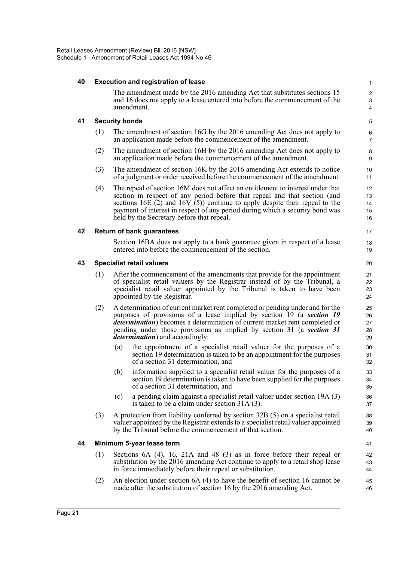#### **40 Execution and registration of lease**

The amendment made by the 2016 amending Act that substitutes sections 15 and 16 does not apply to a lease entered into before the commencement of the amendment.

17 18 19

#### **41 Security bonds**

- (1) The amendment of section 16G by the 2016 amending Act does not apply to an application made before the commencement of the amendment.
- (2) The amendment of section 16H by the 2016 amending Act does not apply to an application made before the commencement of the amendment.
- (3) The amendment of section 16K by the 2016 amending Act extends to notice of a judgment or order received before the commencement of the amendment.
- (4) The repeal of section 16M does not affect an entitlement to interest under that section in respect of any period before that repeal and that section (and sections 16E  $(2)$  and 16V  $(5)$ ) continue to apply despite their repeal to the payment of interest in respect of any period during which a security bond was held by the Secretary before that repeal.

#### **42 Return of bank guarantees**

Section 16BA does not apply to a bank guarantee given in respect of a lease entered into before the commencement of the section.

#### **43 Specialist retail valuers**

- (1) After the commencement of the amendments that provide for the appointment of specialist retail valuers by the Registrar instead of by the Tribunal, a specialist retail valuer appointed by the Tribunal is taken to have been appointed by the Registrar.
- (2) A determination of current market rent completed or pending under and for the purposes of provisions of a lease implied by section 19 (a *section 19 determination*) becomes a determination of current market rent completed or pending under those provisions as implied by section 31 (a *section 31 determination*) and accordingly:
	- (a) the appointment of a specialist retail valuer for the purposes of a section 19 determination is taken to be an appointment for the purposes of a section 31 determination, and
	- (b) information supplied to a specialist retail valuer for the purposes of a section 19 determination is taken to have been supplied for the purposes of a section 31 determination, and
	- (c) a pending claim against a specialist retail valuer under section 19A (3) is taken to be a claim under section 31A (3).
- (3) A protection from liability conferred by section 32B (5) on a specialist retail valuer appointed by the Registrar extends to a specialist retail valuer appointed by the Tribunal before the commencement of that section.

#### **44 Minimum 5-year lease term**

- (1) Sections 6A (4), 16, 21A and 48 (3) as in force before their repeal or substitution by the 2016 amending Act continue to apply to a retail shop lease in force immediately before their repeal or substitution.
- (2) An election under section 6A (4) to have the benefit of section 16 cannot be made after the substitution of section 16 by the 2016 amending Act.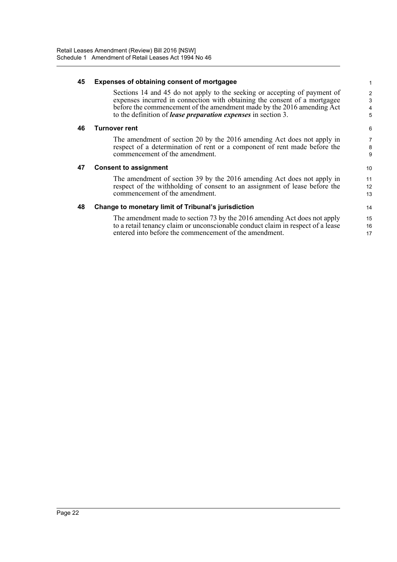| Expenses of obtaining consent of mortgagee                                                                                                                                                                                       |                                                                      |  |
|----------------------------------------------------------------------------------------------------------------------------------------------------------------------------------------------------------------------------------|----------------------------------------------------------------------|--|
| Sections 14 and 45 do not apply to the seeking or accepting of payment of<br>expenses incurred in connection with obtaining the consent of a mortgagee<br>before the commencement of the amendment made by the 2016 amending Act | $\overline{2}$<br>3<br>$\overline{4}$                                |  |
|                                                                                                                                                                                                                                  | 5                                                                    |  |
| Turnover rent                                                                                                                                                                                                                    | 6                                                                    |  |
| The amendment of section 20 by the 2016 amending Act does not apply in<br>respect of a determination of rent or a component of rent made before the<br>commencement of the amendment.                                            | 7<br>8<br>9                                                          |  |
| <b>Consent to assignment</b>                                                                                                                                                                                                     |                                                                      |  |
| The amendment of section 39 by the 2016 amending Act does not apply in<br>respect of the withholding of consent to an assignment of lease before the<br>commencement of the amendment.                                           | 11<br>12<br>13                                                       |  |
| Change to monetary limit of Tribunal's jurisdiction                                                                                                                                                                              | 14                                                                   |  |
| The amendment made to section 73 by the 2016 amending Act does not apply<br>to a retail tenancy claim or unconscionable conduct claim in respect of a lease<br>entered into before the commencement of the amendment.            | 15<br>16                                                             |  |
|                                                                                                                                                                                                                                  | to the definition of <i>lease preparation expenses</i> in section 3. |  |